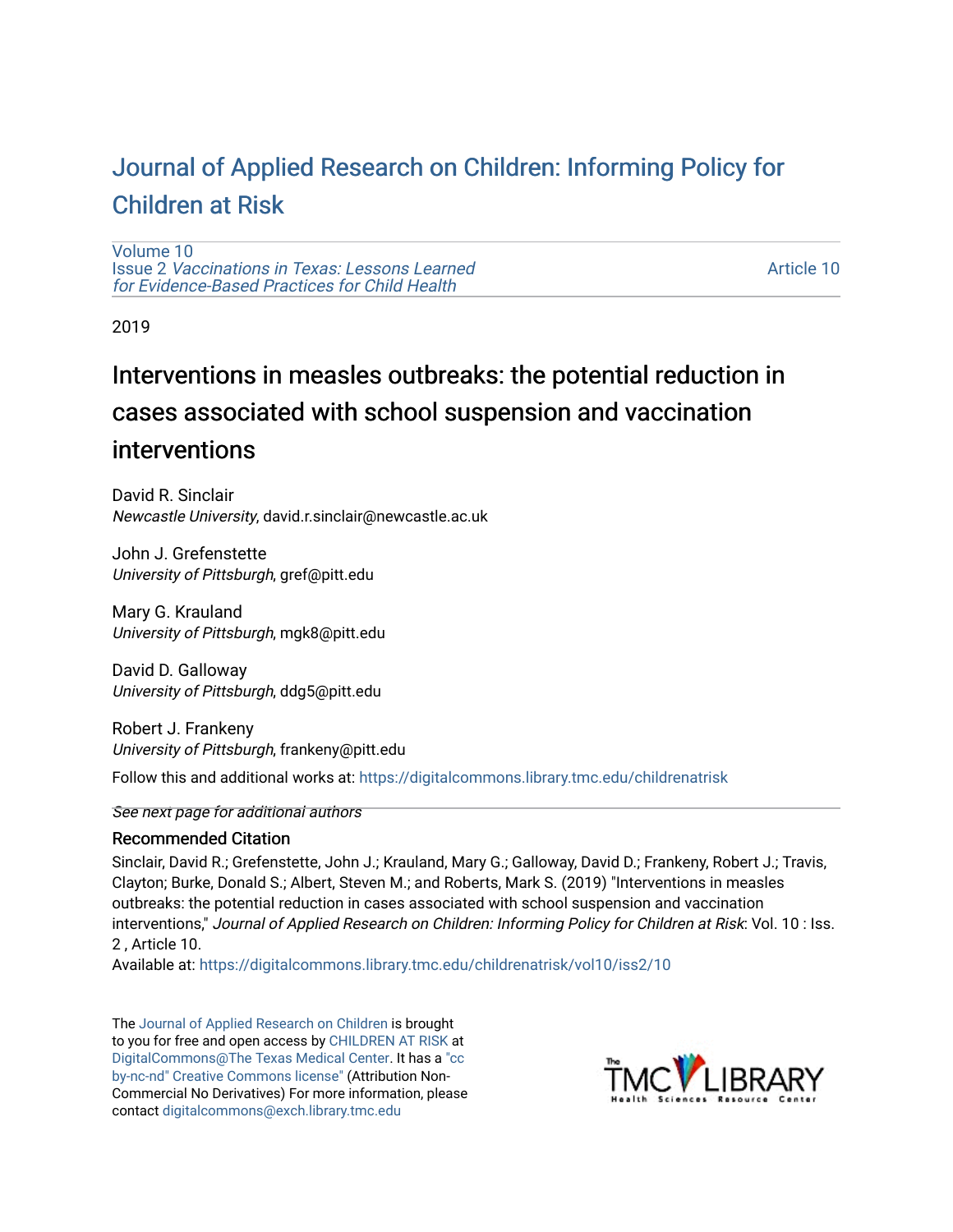# [Journal of Applied Research on Children: Informing Policy for](https://digitalcommons.library.tmc.edu/childrenatrisk) [Children at Risk](https://digitalcommons.library.tmc.edu/childrenatrisk)

[Volume 10](https://digitalcommons.library.tmc.edu/childrenatrisk/vol10) Issue 2 [Vaccinations in Texas: Lessons Learned](https://digitalcommons.library.tmc.edu/childrenatrisk/vol10/iss2)  [for Evidence-Based Practices for Child Health](https://digitalcommons.library.tmc.edu/childrenatrisk/vol10/iss2)

[Article 10](https://digitalcommons.library.tmc.edu/childrenatrisk/vol10/iss2/10) 

2019

# Interventions in measles outbreaks: the potential reduction in cases associated with school suspension and vaccination interventions

David R. Sinclair Newcastle University, david.r.sinclair@newcastle.ac.uk

John J. Grefenstette University of Pittsburgh, gref@pitt.edu

Mary G. Krauland University of Pittsburgh, mgk8@pitt.edu

David D. Galloway University of Pittsburgh, ddg5@pitt.edu

Robert J. Frankeny University of Pittsburgh, frankeny@pitt.edu

Follow this and additional works at: [https://digitalcommons.library.tmc.edu/childrenatrisk](https://digitalcommons.library.tmc.edu/childrenatrisk?utm_source=digitalcommons.library.tmc.edu%2Fchildrenatrisk%2Fvol10%2Fiss2%2F10&utm_medium=PDF&utm_campaign=PDFCoverPages) 

See next page for additional authors

#### Recommended Citation

Sinclair, David R.; Grefenstette, John J.; Krauland, Mary G.; Galloway, David D.; Frankeny, Robert J.; Travis, Clayton; Burke, Donald S.; Albert, Steven M.; and Roberts, Mark S. (2019) "Interventions in measles outbreaks: the potential reduction in cases associated with school suspension and vaccination interventions," Journal of Applied Research on Children: Informing Policy for Children at Risk: Vol. 10 : Iss. 2 , Article 10.

Available at: [https://digitalcommons.library.tmc.edu/childrenatrisk/vol10/iss2/10](https://digitalcommons.library.tmc.edu/childrenatrisk/vol10/iss2/10?utm_source=digitalcommons.library.tmc.edu%2Fchildrenatrisk%2Fvol10%2Fiss2%2F10&utm_medium=PDF&utm_campaign=PDFCoverPages)

The [Journal of Applied Research on Children](http://digitalcommons.library.tmc.edu/childrenatrisk) is brought to you for free and open access by [CHILDREN AT RISK](http://childrenatrisk.org/) at [DigitalCommons@The Texas Medical Center](http://digitalcommons.library.tmc.edu/). It has a ["cc](http://creativecommons.org/licenses/by-nc-nd/3.0/)  [by-nc-nd" Creative Commons license"](http://creativecommons.org/licenses/by-nc-nd/3.0/) (Attribution Non-Commercial No Derivatives) For more information, please contact [digitalcommons@exch.library.tmc.edu](mailto:digitalcommons@exch.library.tmc.edu) 

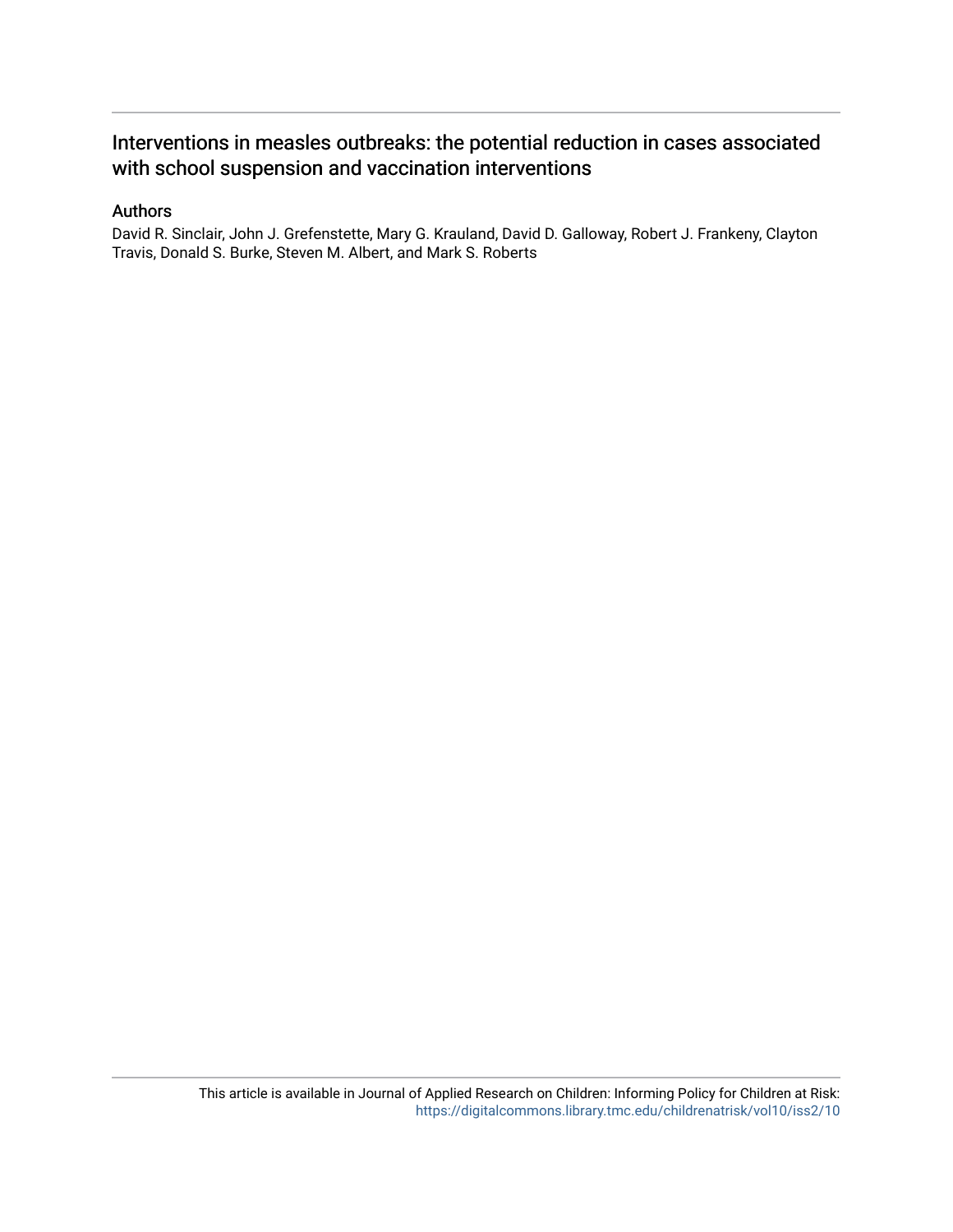### Interventions in measles outbreaks: the potential reduction in cases associated with school suspension and vaccination interventions

#### Authors

David R. Sinclair, John J. Grefenstette, Mary G. Krauland, David D. Galloway, Robert J. Frankeny, Clayton Travis, Donald S. Burke, Steven M. Albert, and Mark S. Roberts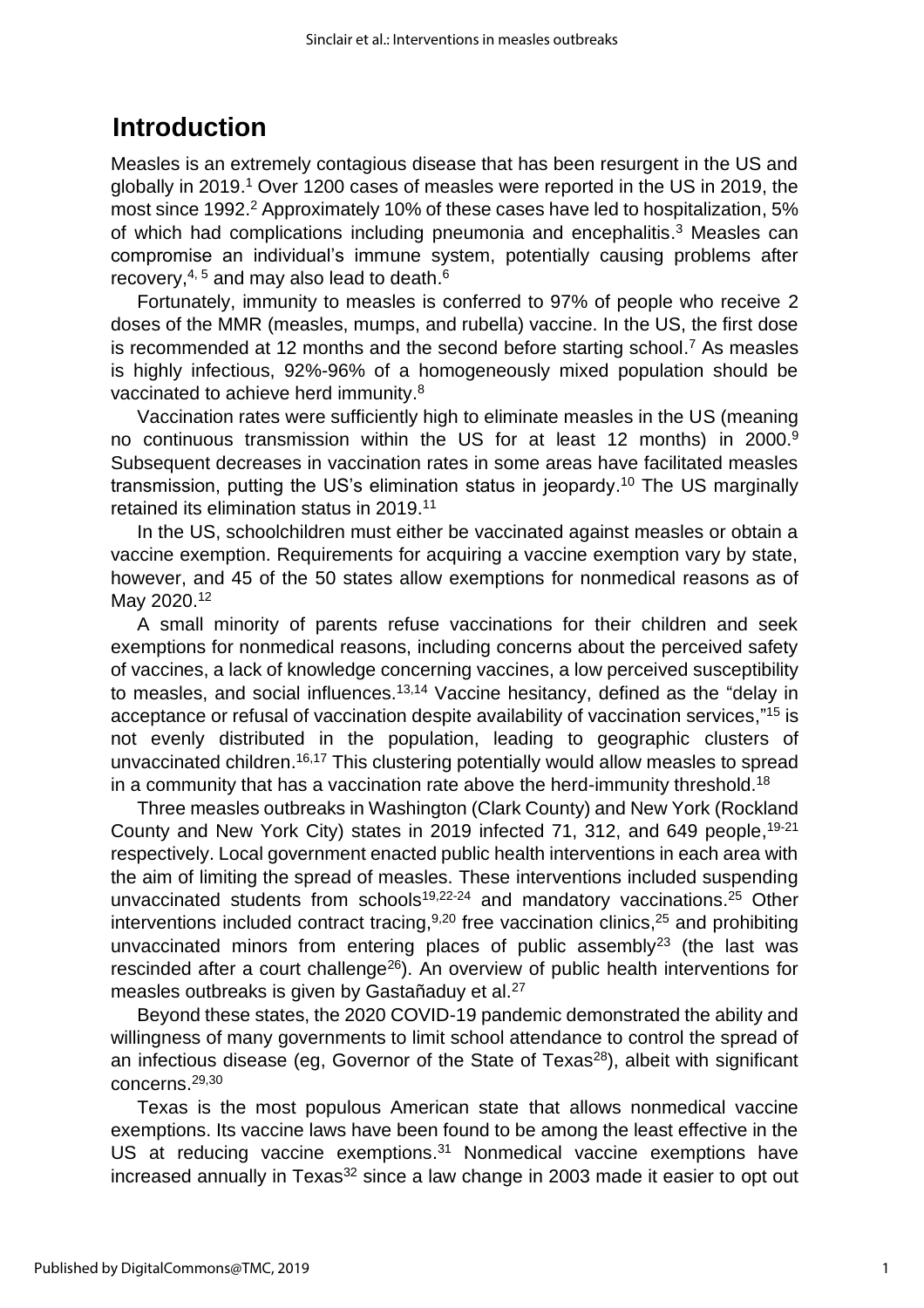## **Introduction**

Measles is an extremely contagious disease that has been resurgent in the US and globally in 2019. <sup>1</sup> Over 1200 cases of measles were reported in the US in 2019, the most since 1992. <sup>2</sup> Approximately 10% of these cases have led to hospitalization, 5% of which had complications including pneumonia and encephalitis.<sup>3</sup> Measles can compromise an individual's immune system, potentially causing problems after recovery, $^{\mathsf{4},\,5}$  and may also lead to death. $^{\mathsf{6}}$ 

Fortunately, immunity to measles is conferred to 97% of people who receive 2 doses of the MMR (measles, mumps, and rubella) vaccine. In the US, the first dose is recommended at 12 months and the second before starting school. <sup>7</sup> As measles is highly infectious, 92%-96% of a homogeneously mixed population should be vaccinated to achieve herd immunity. $^8$ 

Vaccination rates were sufficiently high to eliminate measles in the US (meaning no continuous transmission within the US for at least 12 months) in 2000. 9 Subsequent decreases in vaccination rates in some areas have facilitated measles transmission, putting the US's elimination status in jeopardy. <sup>10</sup> The US marginally retained its elimination status in 2019.<sup>11</sup>

In the US, schoolchildren must either be vaccinated against measles or obtain a vaccine exemption. Requirements for acquiring a vaccine exemption vary by state, however, and 45 of the 50 states allow exemptions for nonmedical reasons as of May 2020. 12

A small minority of parents refuse vaccinations for their children and seek exemptions for nonmedical reasons, including concerns about the perceived safety of vaccines, a lack of knowledge concerning vaccines, a low perceived susceptibility to measles, and social influences. 13,14 Vaccine hesitancy, defined as the "delay in acceptance or refusal of vaccination despite availability of vaccination services,"<sup>15</sup> is not evenly distributed in the population, leading to geographic clusters of unvaccinated children. 16,17 This clustering potentially would allow measles to spread in a community that has a vaccination rate above the herd-immunity threshold.<sup>18</sup>

Three measles outbreaks in Washington (Clark County) and New York (Rockland County and New York City) states in 2019 infected 71, 312, and 649 people, <sup>19-21</sup> respectively. Local government enacted public health interventions in each area with the aim of limiting the spread of measles. These interventions included suspending unvaccinated students from schools<sup>19,22-24</sup> and mandatory vaccinations.<sup>25</sup> Other interventions included contract tracing,<sup>9,20</sup> free vaccination clinics,<sup>25</sup> and prohibiting unvaccinated minors from entering places of public assembly<sup>23</sup> (the last was rescinded after a court challenge<sup>26</sup>). An overview of public health interventions for measles outbreaks is given by Gastañaduy et al.<sup>27</sup>

Beyond these states, the 2020 COVID-19 pandemic demonstrated the ability and willingness of many governments to limit school attendance to control the spread of an infectious disease (eg, Governor of the State of Texas<sup>28</sup>), albeit with significant concerns. 29,30

Texas is the most populous American state that allows nonmedical vaccine exemptions. Its vaccine laws have been found to be among the least effective in the US at reducing vaccine exemptions. <sup>31</sup> Nonmedical vaccine exemptions have increased annually in Texas<sup>32</sup> since a law change in 2003 made it easier to opt out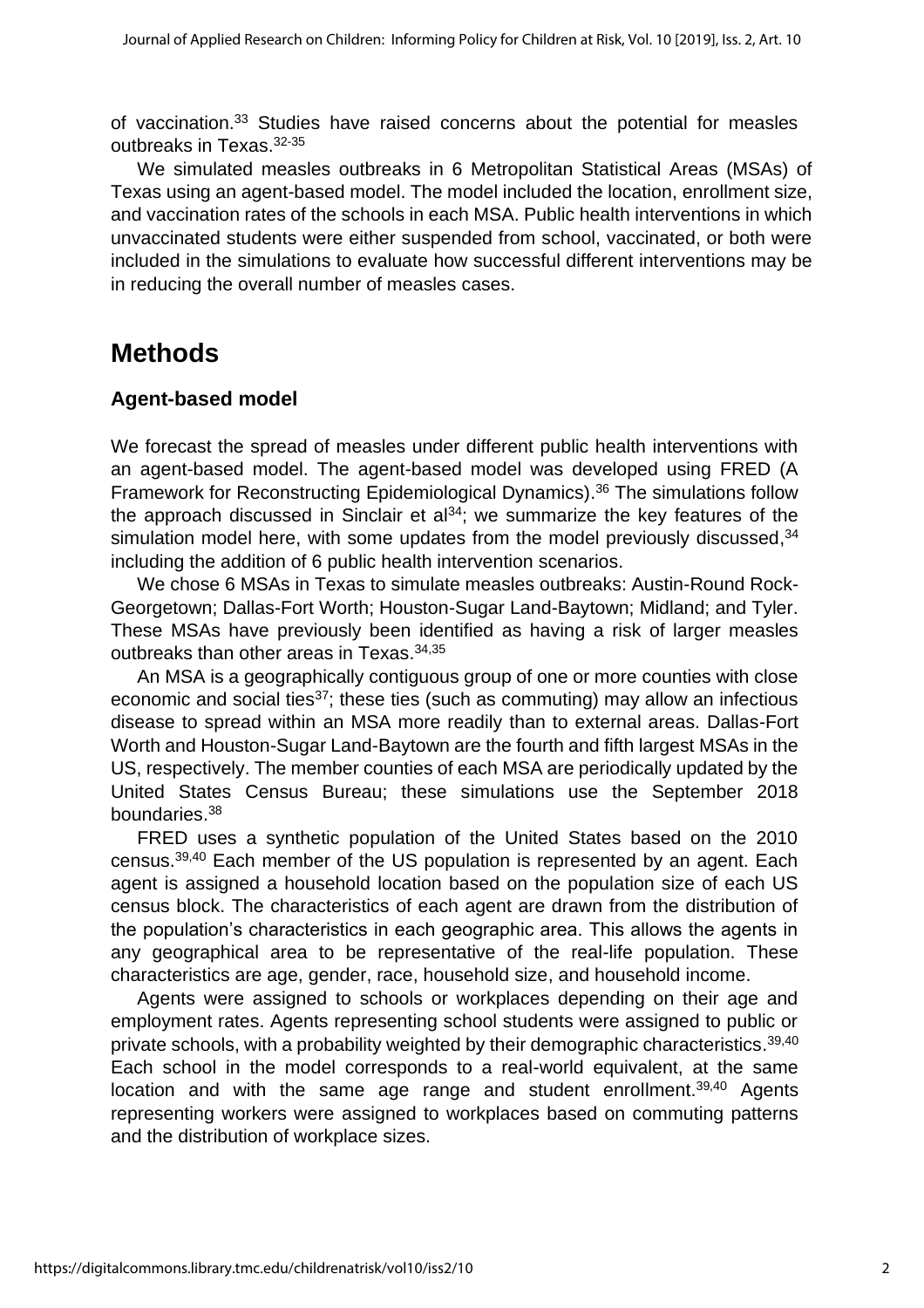of vaccination. <sup>33</sup> Studies have raised concerns about the potential for measles outbreaks in Texas. 32-35

We simulated measles outbreaks in 6 Metropolitan Statistical Areas (MSAs) of Texas using an agent-based model. The model included the location, enrollment size, and vaccination rates of the schools in each MSA. Public health interventions in which unvaccinated students were either suspended from school, vaccinated, or both were included in the simulations to evaluate how successful different interventions may be in reducing the overall number of measles cases.

## **Methods**

### **Agent-based model**

We forecast the spread of measles under different public health interventions with an agent-based model. The agent-based model was developed using FRED (A Framework for Reconstructing Epidemiological Dynamics). <sup>36</sup> The simulations follow the approach discussed in Sinclair et al $34$ ; we summarize the key features of the simulation model here, with some updates from the model previously discussed,<sup>34</sup> including the addition of 6 public health intervention scenarios.

We chose 6 MSAs in Texas to simulate measles outbreaks: Austin-Round Rock-Georgetown; Dallas-Fort Worth; Houston-Sugar Land-Baytown; Midland; and Tyler. These MSAs have previously been identified as having a risk of larger measles outbreaks than other areas in Texas. 34,35

An MSA is a geographically contiguous group of one or more counties with close economic and social ties $37$ ; these ties (such as commuting) may allow an infectious disease to spread within an MSA more readily than to external areas. Dallas-Fort Worth and Houston-Sugar Land-Baytown are the fourth and fifth largest MSAs in the US, respectively. The member counties of each MSA are periodically updated by the United States Census Bureau; these simulations use the September 2018 boundaries. 38

FRED uses a synthetic population of the United States based on the 2010 census.<sup>39,40</sup> Each member of the US population is represented by an agent. Each agent is assigned a household location based on the population size of each US census block. The characteristics of each agent are drawn from the distribution of the population's characteristics in each geographic area. This allows the agents in any geographical area to be representative of the real-life population. These characteristics are age, gender, race, household size, and household income.

Agents were assigned to schools or workplaces depending on their age and employment rates. Agents representing school students were assigned to public or private schools, with a probability weighted by their demographic characteristics.<sup>39,40</sup> Each school in the model corresponds to a real-world equivalent, at the same location and with the same age range and student enrollment.<sup>39,40</sup> Agents representing workers were assigned to workplaces based on commuting patterns and the distribution of workplace sizes.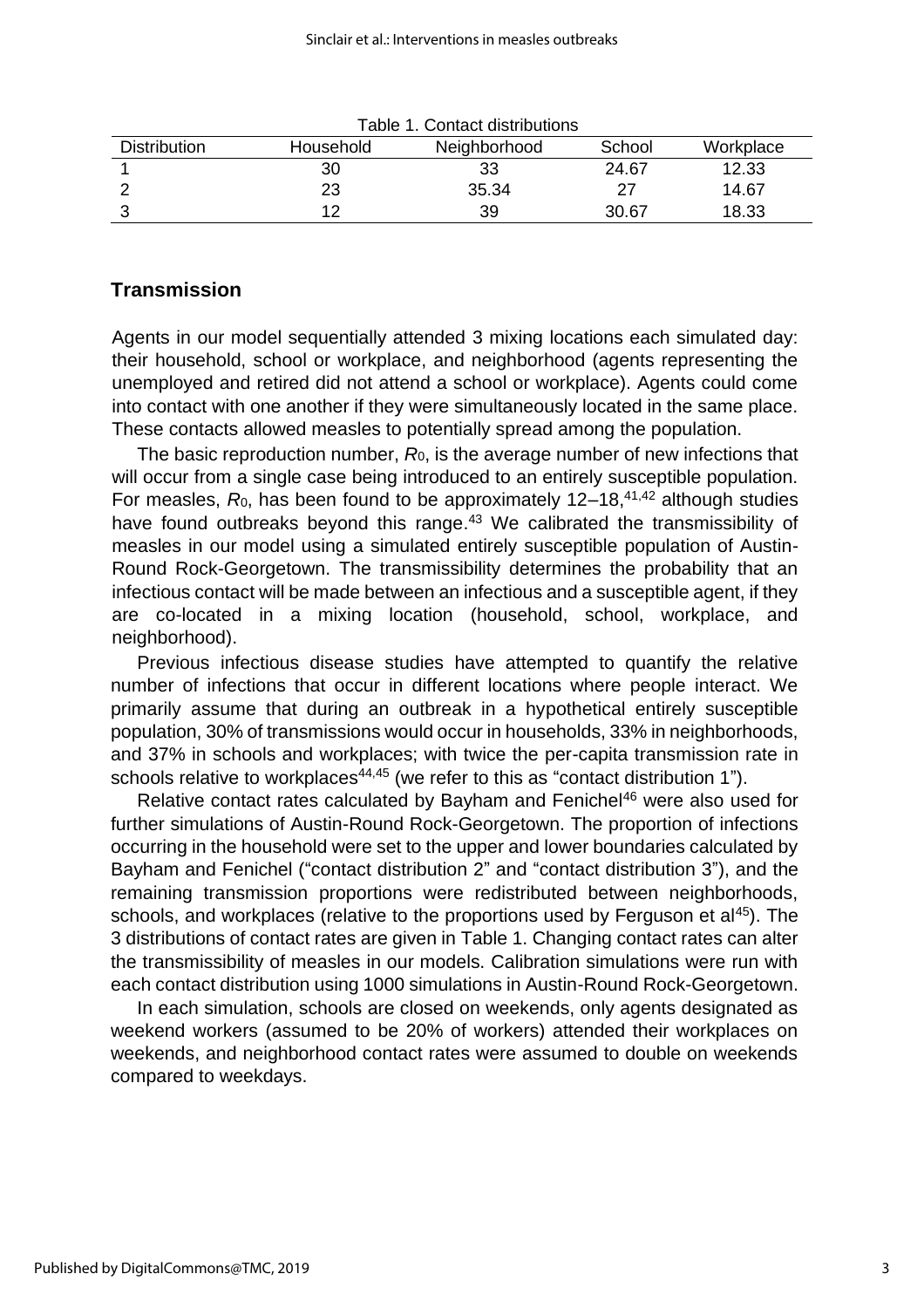| Table T. Conitact distributions<br>School<br><b>Distribution</b><br>Neighborhood<br>Workplace<br>Household |    |       |       |       |  |  |  |  |  |
|------------------------------------------------------------------------------------------------------------|----|-------|-------|-------|--|--|--|--|--|
|                                                                                                            | 30 | 33    | 24.67 | 12.33 |  |  |  |  |  |
|                                                                                                            | 23 | 35.34 |       | 14.67 |  |  |  |  |  |
|                                                                                                            |    | 39    | 30.67 | 18.33 |  |  |  |  |  |

| Table 1. Contact distributions |  |
|--------------------------------|--|
|--------------------------------|--|

### **Transmission**

Agents in our model sequentially attended 3 mixing locations each simulated day: their household, school or workplace, and neighborhood (agents representing the unemployed and retired did not attend a school or workplace). Agents could come into contact with one another if they were simultaneously located in the same place. These contacts allowed measles to potentially spread among the population.

The basic reproduction number, *R*0, is the average number of new infections that will occur from a single case being introduced to an entirely susceptible population. For measles, R<sub>0</sub>, has been found to be approximately 12–18,<sup>41,42</sup> although studies have found outbreaks beyond this range.<sup>43</sup> We calibrated the transmissibility of measles in our model using a simulated entirely susceptible population of Austin-Round Rock-Georgetown. The transmissibility determines the probability that an infectious contact will be made between an infectious and a susceptible agent, if they are co-located in a mixing location (household, school, workplace, and neighborhood).

Previous infectious disease studies have attempted to quantify the relative number of infections that occur in different locations where people interact. We primarily assume that during an outbreak in a hypothetical entirely susceptible population, 30% of transmissions would occur in households, 33% in neighborhoods, and 37% in schools and workplaces; with twice the per-capita transmission rate in schools relative to workplaces<sup>44,45</sup> (we refer to this as "contact distribution 1").

Relative contact rates calculated by Bayham and Fenichel<sup>46</sup> were also used for further simulations of Austin-Round Rock-Georgetown. The proportion of infections occurring in the household were set to the upper and lower boundaries calculated by Bayham and Fenichel ("contact distribution 2" and "contact distribution 3"), and the remaining transmission proportions were redistributed between neighborhoods, schools, and workplaces (relative to the proportions used by Ferguson et al<sup>45</sup>). The 3 distributions of contact rates are given in Table 1. Changing contact rates can alter the transmissibility of measles in our models. Calibration simulations were run with each contact distribution using 1000 simulations in Austin-Round Rock-Georgetown.

In each simulation, schools are closed on weekends, only agents designated as weekend workers (assumed to be 20% of workers) attended their workplaces on weekends, and neighborhood contact rates were assumed to double on weekends compared to weekdays.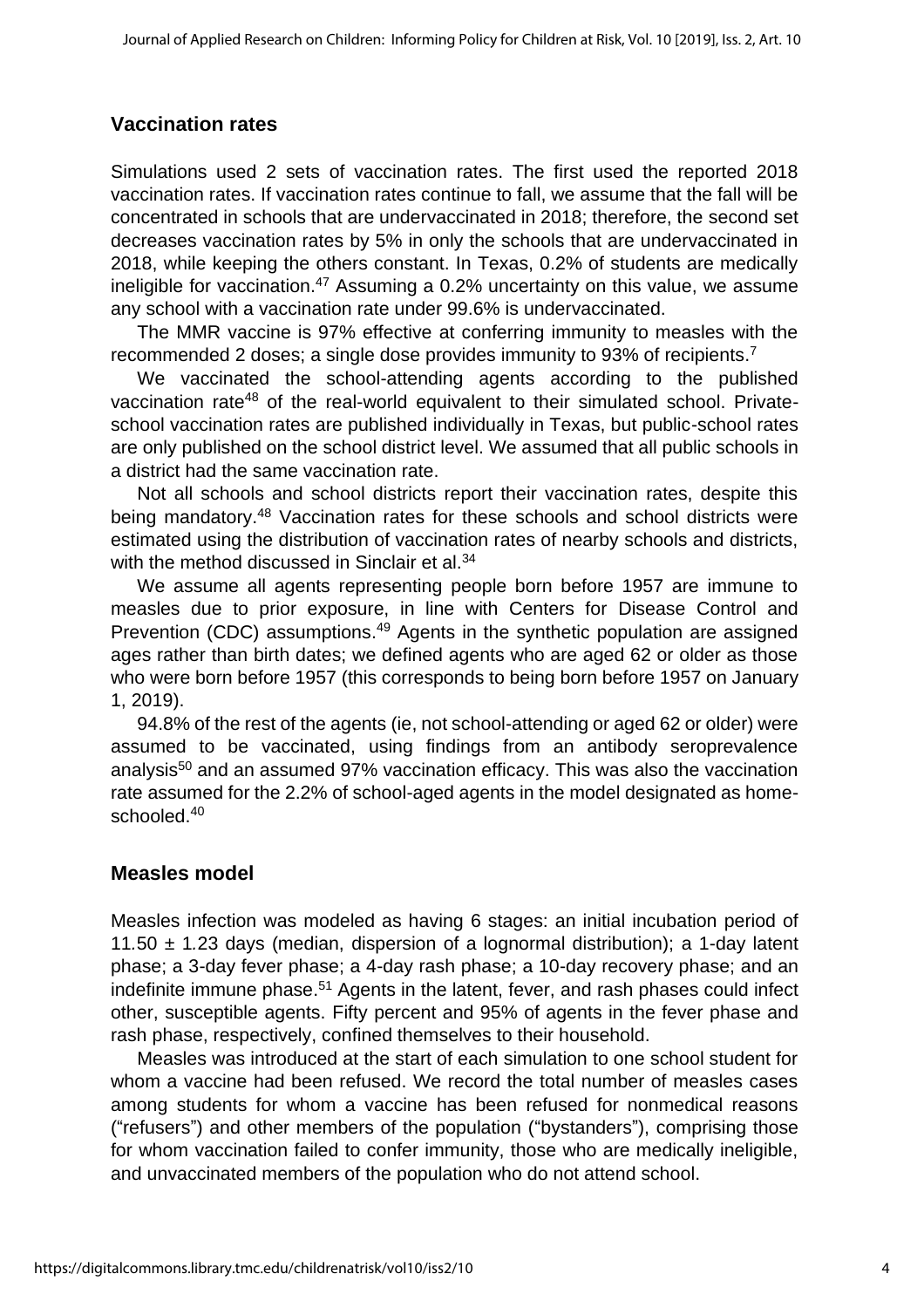## **Vaccination rates**

Simulations used 2 sets of vaccination rates. The first used the reported 2018 vaccination rates. If vaccination rates continue to fall, we assume that the fall will be concentrated in schools that are undervaccinated in 2018; therefore, the second set decreases vaccination rates by 5% in only the schools that are undervaccinated in 2018, while keeping the others constant. In Texas, 0.2% of students are medically ineligible for vaccination.<sup>47</sup> Assuming a 0.2% uncertainty on this value, we assume any school with a vaccination rate under 99.6% is undervaccinated.

The MMR vaccine is 97% effective at conferring immunity to measles with the recommended 2 doses; a single dose provides immunity to 93% of recipients.<sup>7</sup>

We vaccinated the school-attending agents according to the published vaccination rate<sup>48</sup> of the real-world equivalent to their simulated school. Privateschool vaccination rates are published individually in Texas, but public-school rates are only published on the school district level. We assumed that all public schools in a district had the same vaccination rate.

Not all schools and school districts report their vaccination rates, despite this being mandatory.<sup>48</sup> Vaccination rates for these schools and school districts were estimated using the distribution of vaccination rates of nearby schools and districts, with the method discussed in Sinclair et al.<sup>34</sup>

We assume all agents representing people born before 1957 are immune to measles due to prior exposure, in line with Centers for Disease Control and Prevention (CDC) assumptions.<sup>49</sup> Agents in the synthetic population are assigned ages rather than birth dates; we defined agents who are aged 62 or older as those who were born before 1957 (this corresponds to being born before 1957 on January 1, 2019).

94.8% of the rest of the agents (ie, not school-attending or aged 62 or older) were assumed to be vaccinated, using findings from an antibody seroprevalence analysis<sup>50</sup> and an assumed 97% vaccination efficacy. This was also the vaccination rate assumed for the 2.2% of school-aged agents in the model designated as homeschooled. 40

### **Measles model**

Measles infection was modeled as having 6 stages: an initial incubation period of 11*.*50 ± 1*.*23 days (median, dispersion of a lognormal distribution); a 1-day latent phase; a 3-day fever phase; a 4-day rash phase; a 10-day recovery phase; and an indefinite immune phase.<sup>51</sup> Agents in the latent, fever, and rash phases could infect other, susceptible agents. Fifty percent and 95% of agents in the fever phase and rash phase, respectively, confined themselves to their household.

Measles was introduced at the start of each simulation to one school student for whom a vaccine had been refused. We record the total number of measles cases among students for whom a vaccine has been refused for nonmedical reasons ("refusers") and other members of the population ("bystanders"), comprising those for whom vaccination failed to confer immunity, those who are medically ineligible, and unvaccinated members of the population who do not attend school.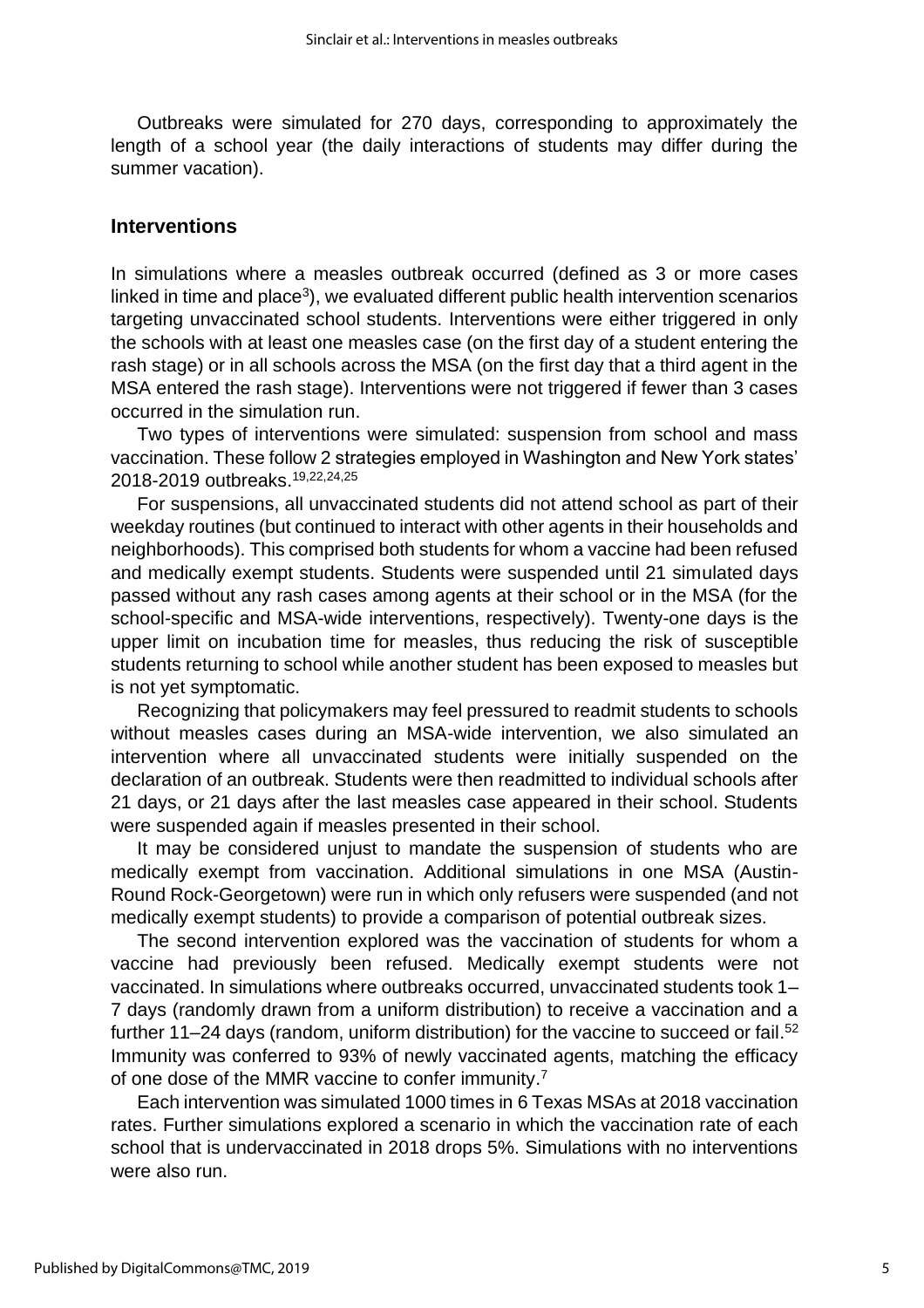Outbreaks were simulated for 270 days, corresponding to approximately the length of a school year (the daily interactions of students may differ during the summer vacation).

#### **Interventions**

In simulations where a measles outbreak occurred (defined as 3 or more cases linked in time and place<sup>3</sup>), we evaluated different public health intervention scenarios targeting unvaccinated school students. Interventions were either triggered in only the schools with at least one measles case (on the first day of a student entering the rash stage) or in all schools across the MSA (on the first day that a third agent in the MSA entered the rash stage). Interventions were not triggered if fewer than 3 cases occurred in the simulation run.

Two types of interventions were simulated: suspension from school and mass vaccination. These follow 2 strategies employed in Washington and New York states' 2018-2019 outbreaks. 19,22,24,25

For suspensions, all unvaccinated students did not attend school as part of their weekday routines (but continued to interact with other agents in their households and neighborhoods). This comprised both students for whom a vaccine had been refused and medically exempt students. Students were suspended until 21 simulated days passed without any rash cases among agents at their school or in the MSA (for the school-specific and MSA-wide interventions, respectively). Twenty-one days is the upper limit on incubation time for measles, thus reducing the risk of susceptible students returning to school while another student has been exposed to measles but is not yet symptomatic.

Recognizing that policymakers may feel pressured to readmit students to schools without measles cases during an MSA-wide intervention, we also simulated an intervention where all unvaccinated students were initially suspended on the declaration of an outbreak. Students were then readmitted to individual schools after 21 days, or 21 days after the last measles case appeared in their school. Students were suspended again if measles presented in their school.

It may be considered unjust to mandate the suspension of students who are medically exempt from vaccination. Additional simulations in one MSA (Austin-Round Rock-Georgetown) were run in which only refusers were suspended (and not medically exempt students) to provide a comparison of potential outbreak sizes.

The second intervention explored was the vaccination of students for whom a vaccine had previously been refused. Medically exempt students were not vaccinated. In simulations where outbreaks occurred, unvaccinated students took 1– 7 days (randomly drawn from a uniform distribution) to receive a vaccination and a further 11–24 days (random, uniform distribution) for the vaccine to succeed or fail.<sup>52</sup> Immunity was conferred to 93% of newly vaccinated agents, matching the efficacy of one dose of the MMR vaccine to confer immunity.<sup>7</sup>

Each intervention was simulated 1000 times in 6 Texas MSAs at 2018 vaccination rates. Further simulations explored a scenario in which the vaccination rate of each school that is undervaccinated in 2018 drops 5%. Simulations with no interventions were also run.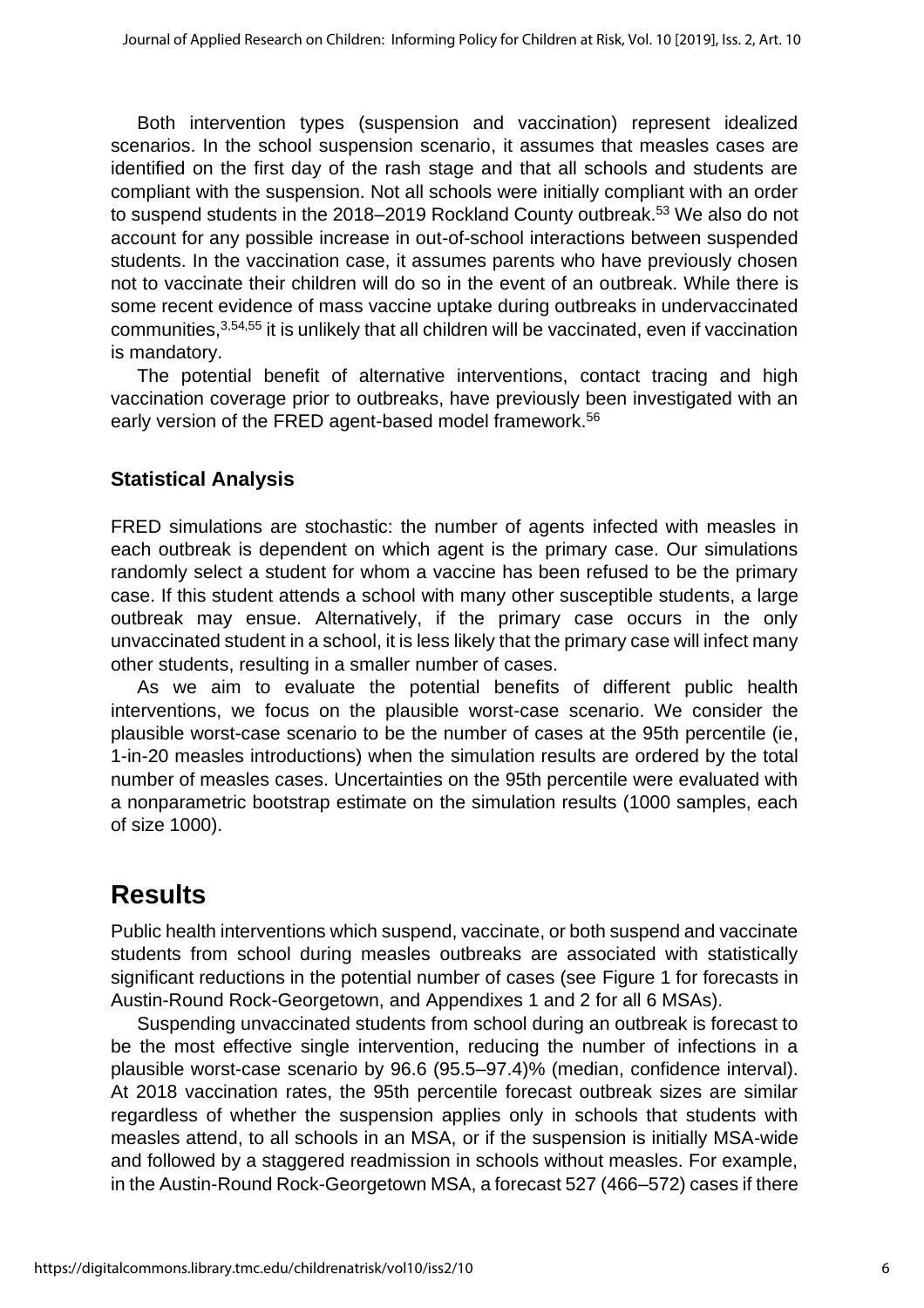Both intervention types (suspension and vaccination) represent idealized scenarios. In the school suspension scenario, it assumes that measles cases are identified on the first day of the rash stage and that all schools and students are compliant with the suspension. Not all schools were initially compliant with an order to suspend students in the 2018–2019 Rockland County outbreak. <sup>53</sup> We also do not account for any possible increase in out-of-school interactions between suspended students. In the vaccination case, it assumes parents who have previously chosen not to vaccinate their children will do so in the event of an outbreak. While there is some recent evidence of mass vaccine uptake during outbreaks in undervaccinated communities, 3,54,55 it is unlikely that all children will be vaccinated, even if vaccination is mandatory.

The potential benefit of alternative interventions, contact tracing and high vaccination coverage prior to outbreaks, have previously been investigated with an early version of the FRED agent-based model framework. 56

### **Statistical Analysis**

FRED simulations are stochastic: the number of agents infected with measles in each outbreak is dependent on which agent is the primary case. Our simulations randomly select a student for whom a vaccine has been refused to be the primary case. If this student attends a school with many other susceptible students, a large outbreak may ensue. Alternatively, if the primary case occurs in the only unvaccinated student in a school, it is less likely that the primary case will infect many other students, resulting in a smaller number of cases.

As we aim to evaluate the potential benefits of different public health interventions, we focus on the plausible worst-case scenario. We consider the plausible worst-case scenario to be the number of cases at the 95th percentile (ie, 1-in-20 measles introductions) when the simulation results are ordered by the total number of measles cases. Uncertainties on the 95th percentile were evaluated with a nonparametric bootstrap estimate on the simulation results (1000 samples, each of size 1000).

## **Results**

Public health interventions which suspend, vaccinate, or both suspend and vaccinate students from school during measles outbreaks are associated with statistically significant reductions in the potential number of cases (see Figure 1 for forecasts in Austin-Round Rock-Georgetown, and Appendixes 1 and 2 for all 6 MSAs).

Suspending unvaccinated students from school during an outbreak is forecast to be the most effective single intervention, reducing the number of infections in a plausible worst-case scenario by 96.6 (95.5–97.4)% (median, confidence interval). At 2018 vaccination rates, the 95th percentile forecast outbreak sizes are similar regardless of whether the suspension applies only in schools that students with measles attend, to all schools in an MSA, or if the suspension is initially MSA-wide and followed by a staggered readmission in schools without measles. For example, in the Austin-Round Rock-Georgetown MSA, a forecast 527 (466–572) cases if there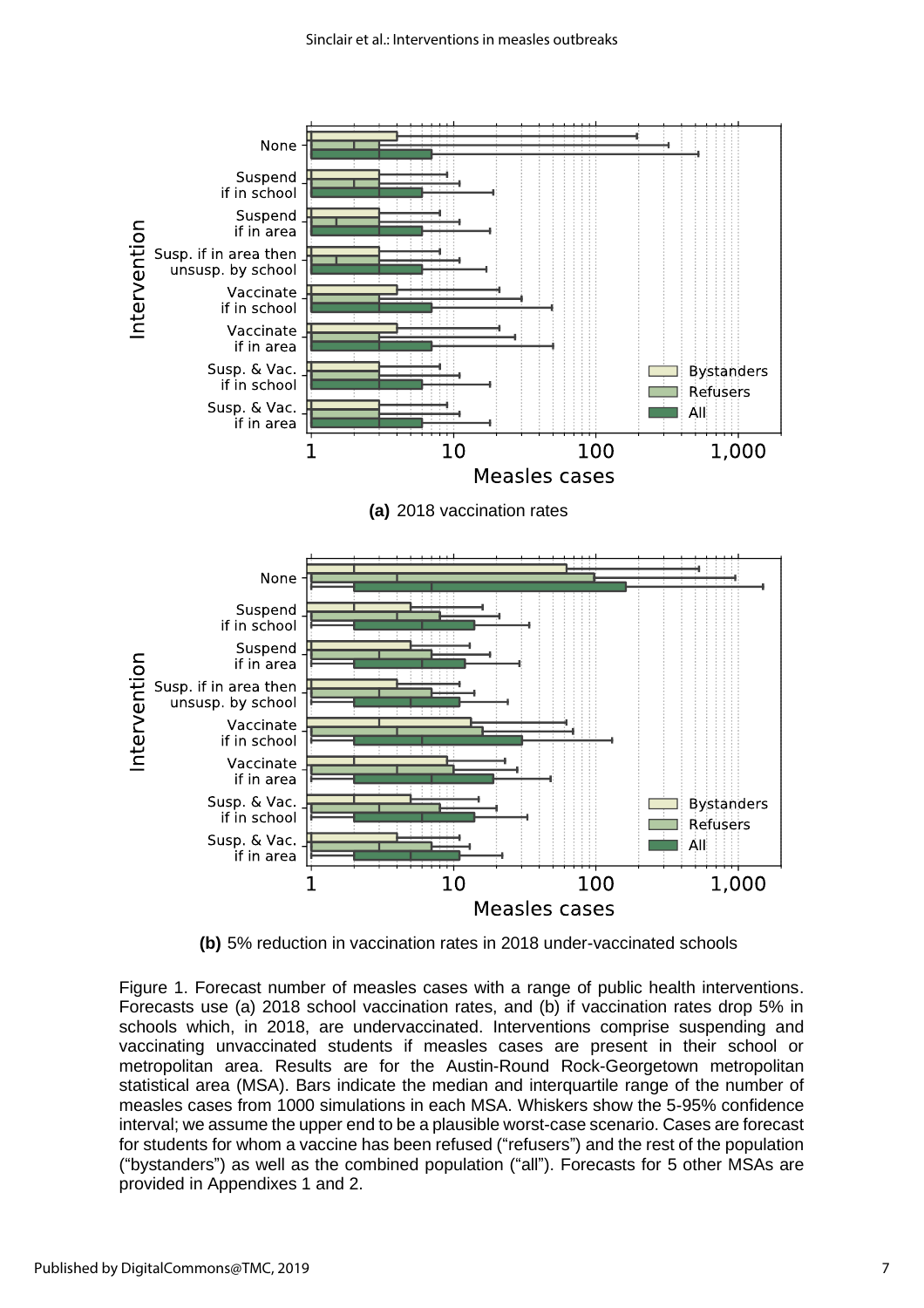

**(b)** 5% reduction in vaccination rates in 2018 under-vaccinated schools

Figure 1. Forecast number of measles cases with a range of public health interventions. Forecasts use (a) 2018 school vaccination rates, and (b) if vaccination rates drop 5% in schools which, in 2018, are undervaccinated. Interventions comprise suspending and vaccinating unvaccinated students if measles cases are present in their school or metropolitan area. Results are for the Austin-Round Rock-Georgetown metropolitan statistical area (MSA). Bars indicate the median and interquartile range of the number of measles cases from 1000 simulations in each MSA. Whiskers show the 5-95% confidence interval; we assume the upper end to be a plausible worst-case scenario. Cases are forecast for students for whom a vaccine has been refused ("refusers") and the rest of the population ("bystanders") as well as the combined population ("all"). Forecasts for 5 other MSAs are provided in Appendixes 1 and 2.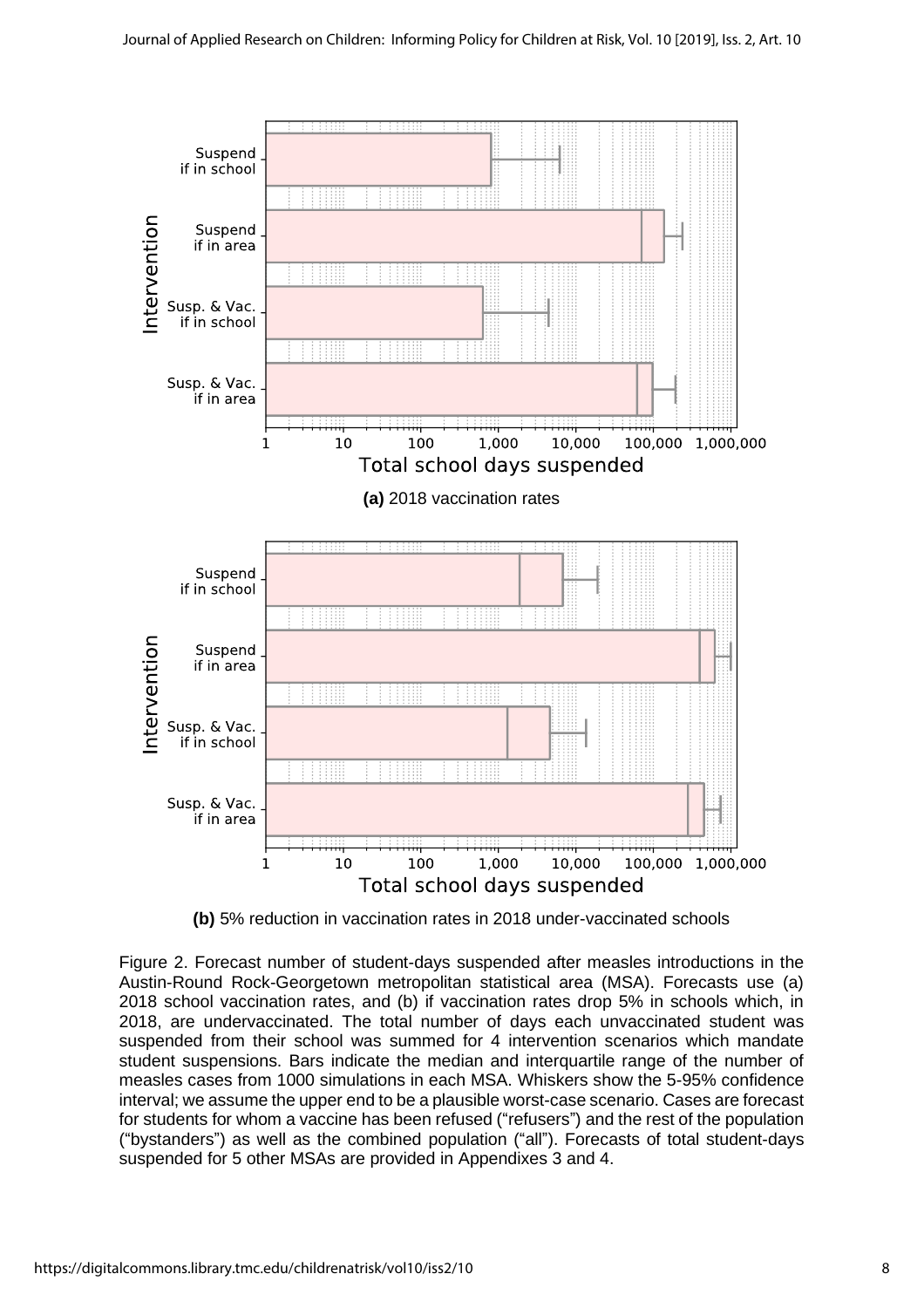

**(b)** 5% reduction in vaccination rates in 2018 under-vaccinated schools

Figure 2. Forecast number of student-days suspended after measles introductions in the Austin-Round Rock-Georgetown metropolitan statistical area (MSA). Forecasts use (a) 2018 school vaccination rates, and (b) if vaccination rates drop 5% in schools which, in 2018, are undervaccinated. The total number of days each unvaccinated student was suspended from their school was summed for 4 intervention scenarios which mandate student suspensions. Bars indicate the median and interquartile range of the number of measles cases from 1000 simulations in each MSA. Whiskers show the 5-95% confidence interval; we assume the upper end to be a plausible worst-case scenario. Cases are forecast for students for whom a vaccine has been refused ("refusers") and the rest of the population ("bystanders") as well as the combined population ("all"). Forecasts of total student-days suspended for 5 other MSAs are provided in Appendixes 3 and 4.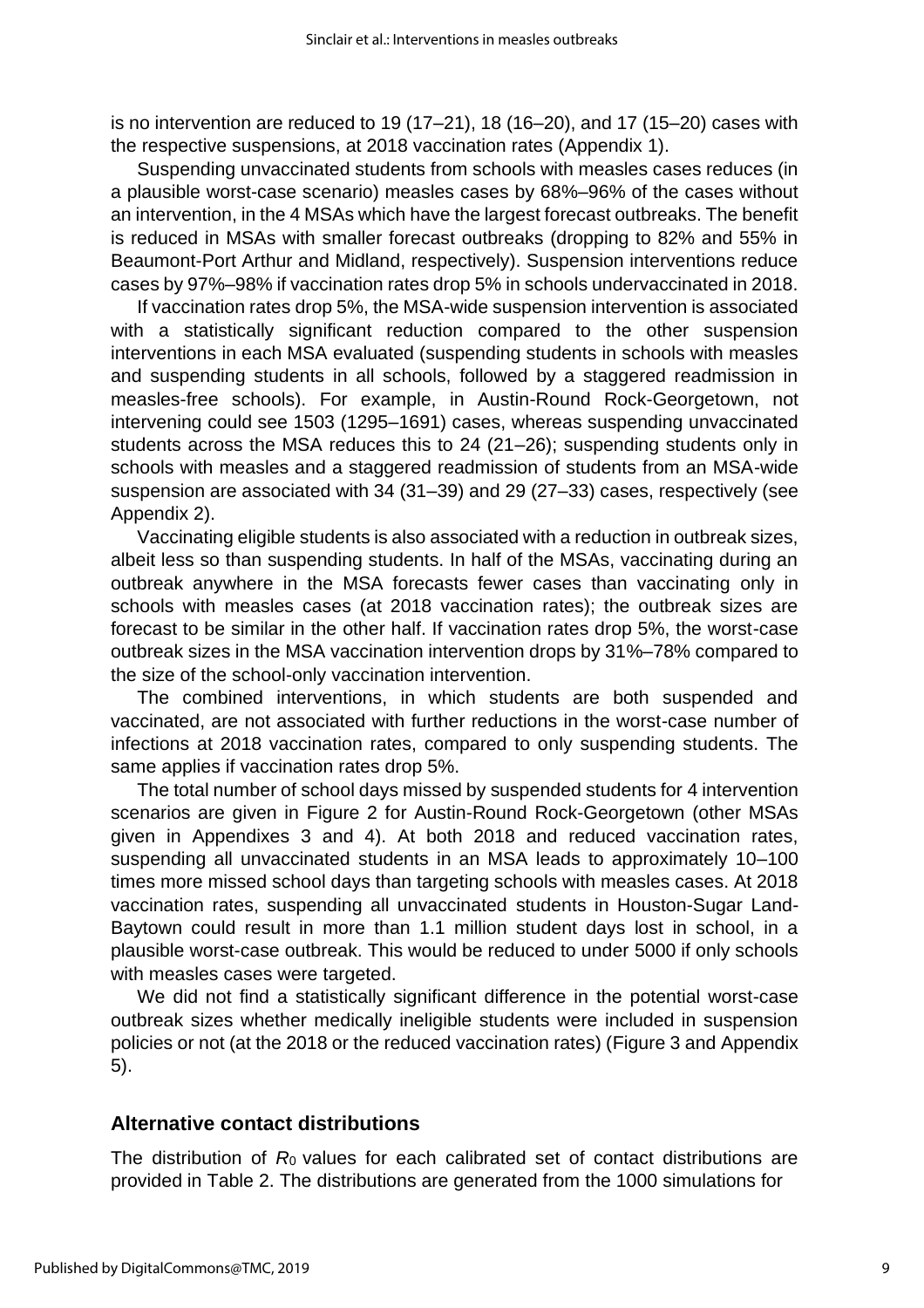is no intervention are reduced to 19 (17–21), 18 (16–20), and 17 (15–20) cases with the respective suspensions, at 2018 vaccination rates (Appendix 1).

Suspending unvaccinated students from schools with measles cases reduces (in a plausible worst-case scenario) measles cases by 68%–96% of the cases without an intervention, in the 4 MSAs which have the largest forecast outbreaks. The benefit is reduced in MSAs with smaller forecast outbreaks (dropping to 82% and 55% in Beaumont-Port Arthur and Midland, respectively). Suspension interventions reduce cases by 97%–98% if vaccination rates drop 5% in schools undervaccinated in 2018.

If vaccination rates drop 5%, the MSA-wide suspension intervention is associated with a statistically significant reduction compared to the other suspension interventions in each MSA evaluated (suspending students in schools with measles and suspending students in all schools, followed by a staggered readmission in measles-free schools). For example, in Austin-Round Rock-Georgetown, not intervening could see 1503 (1295–1691) cases, whereas suspending unvaccinated students across the MSA reduces this to 24 (21–26); suspending students only in schools with measles and a staggered readmission of students from an MSA-wide suspension are associated with 34 (31–39) and 29 (27–33) cases, respectively (see Appendix 2).

Vaccinating eligible students is also associated with a reduction in outbreak sizes, albeit less so than suspending students. In half of the MSAs, vaccinating during an outbreak anywhere in the MSA forecasts fewer cases than vaccinating only in schools with measles cases (at 2018 vaccination rates); the outbreak sizes are forecast to be similar in the other half. If vaccination rates drop 5%, the worst-case outbreak sizes in the MSA vaccination intervention drops by 31%–78% compared to the size of the school-only vaccination intervention.

The combined interventions, in which students are both suspended and vaccinated, are not associated with further reductions in the worst-case number of infections at 2018 vaccination rates, compared to only suspending students. The same applies if vaccination rates drop 5%.

The total number of school days missed by suspended students for 4 intervention scenarios are given in Figure 2 for Austin-Round Rock-Georgetown (other MSAs given in Appendixes 3 and 4). At both 2018 and reduced vaccination rates, suspending all unvaccinated students in an MSA leads to approximately 10–100 times more missed school days than targeting schools with measles cases. At 2018 vaccination rates, suspending all unvaccinated students in Houston-Sugar Land-Baytown could result in more than 1.1 million student days lost in school, in a plausible worst-case outbreak. This would be reduced to under 5000 if only schools with measles cases were targeted.

We did not find a statistically significant difference in the potential worst-case outbreak sizes whether medically ineligible students were included in suspension policies or not (at the 2018 or the reduced vaccination rates) (Figure 3 and Appendix 5).

#### **Alternative contact distributions**

The distribution of *R*0 values for each calibrated set of contact distributions are provided in Table 2. The distributions are generated from the 1000 simulations for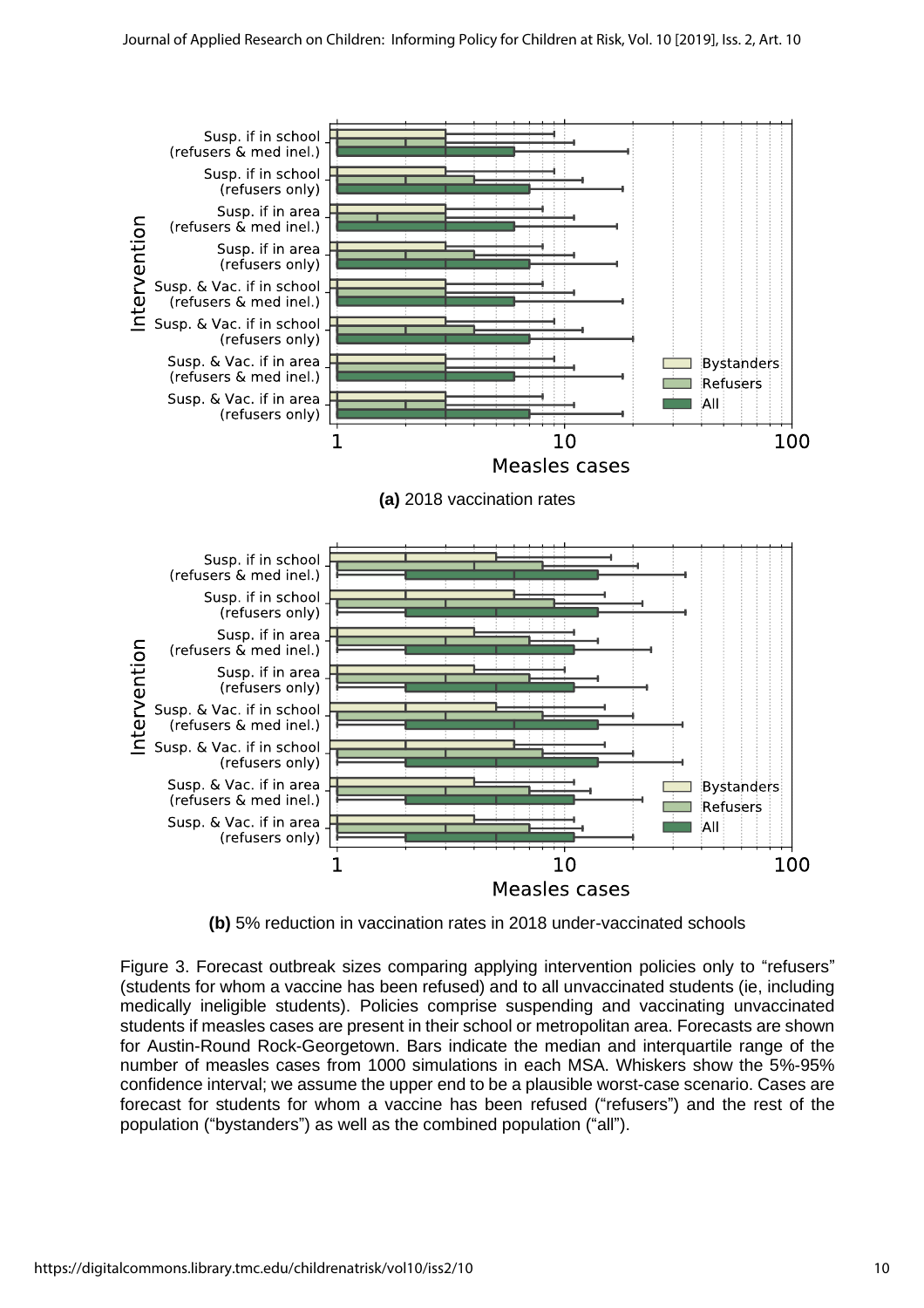

**(b)** 5% reduction in vaccination rates in 2018 under-vaccinated schools

Figure 3. Forecast outbreak sizes comparing applying intervention policies only to "refusers" (students for whom a vaccine has been refused) and to all unvaccinated students (ie, including medically ineligible students). Policies comprise suspending and vaccinating unvaccinated students if measles cases are present in their school or metropolitan area. Forecasts are shown for Austin-Round Rock-Georgetown. Bars indicate the median and interquartile range of the number of measles cases from 1000 simulations in each MSA. Whiskers show the 5%-95% confidence interval; we assume the upper end to be a plausible worst-case scenario. Cases are forecast for students for whom a vaccine has been refused ("refusers") and the rest of the population ("bystanders") as well as the combined population ("all").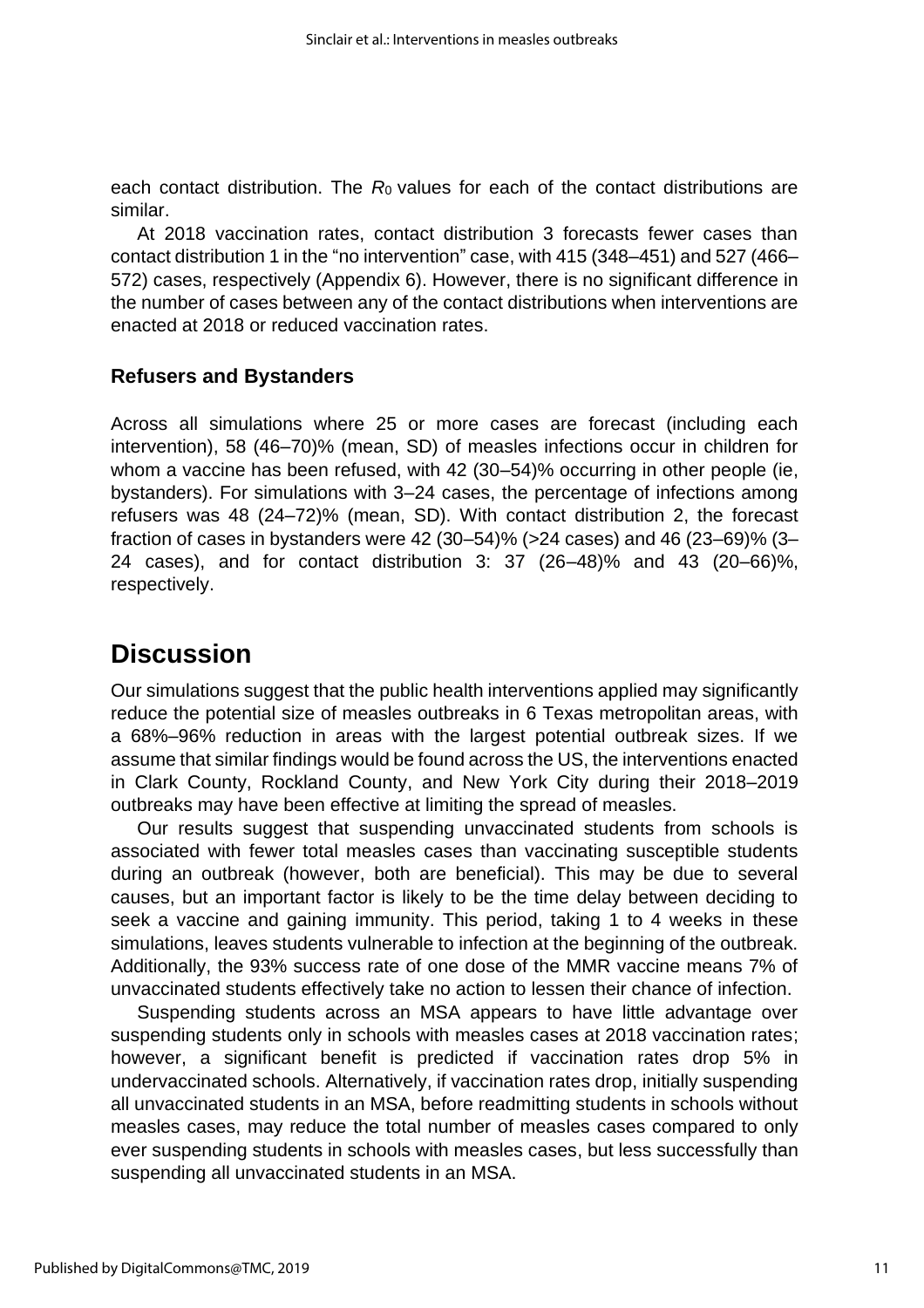each contact distribution. The *R*0 values for each of the contact distributions are similar.

At 2018 vaccination rates, contact distribution 3 forecasts fewer cases than contact distribution 1 in the "no intervention" case, with 415 (348–451) and 527 (466– 572) cases, respectively (Appendix 6). However, there is no significant difference in the number of cases between any of the contact distributions when interventions are enacted at 2018 or reduced vaccination rates.

#### **Refusers and Bystanders**

Across all simulations where 25 or more cases are forecast (including each intervention), 58 (46–70)% (mean, SD) of measles infections occur in children for whom a vaccine has been refused, with 42 (30–54)% occurring in other people (ie, bystanders). For simulations with 3–24 cases, the percentage of infections among refusers was 48 (24–72)% (mean, SD). With contact distribution 2, the forecast fraction of cases in bystanders were 42 (30–54)% (*>*24 cases) and 46 (23–69)% (3– 24 cases), and for contact distribution 3: 37 (26–48)% and 43 (20–66)%, respectively.

## **Discussion**

Our simulations suggest that the public health interventions applied may significantly reduce the potential size of measles outbreaks in 6 Texas metropolitan areas, with a 68%–96% reduction in areas with the largest potential outbreak sizes. If we assume that similar findings would be found across the US, the interventions enacted in Clark County, Rockland County, and New York City during their 2018–2019 outbreaks may have been effective at limiting the spread of measles.

Our results suggest that suspending unvaccinated students from schools is associated with fewer total measles cases than vaccinating susceptible students during an outbreak (however, both are beneficial). This may be due to several causes, but an important factor is likely to be the time delay between deciding to seek a vaccine and gaining immunity. This period, taking 1 to 4 weeks in these simulations, leaves students vulnerable to infection at the beginning of the outbreak. Additionally, the 93% success rate of one dose of the MMR vaccine means 7% of unvaccinated students effectively take no action to lessen their chance of infection.

Suspending students across an MSA appears to have little advantage over suspending students only in schools with measles cases at 2018 vaccination rates; however, a significant benefit is predicted if vaccination rates drop 5% in undervaccinated schools. Alternatively, if vaccination rates drop, initially suspending all unvaccinated students in an MSA, before readmitting students in schools without measles cases, may reduce the total number of measles cases compared to only ever suspending students in schools with measles cases, but less successfully than suspending all unvaccinated students in an MSA.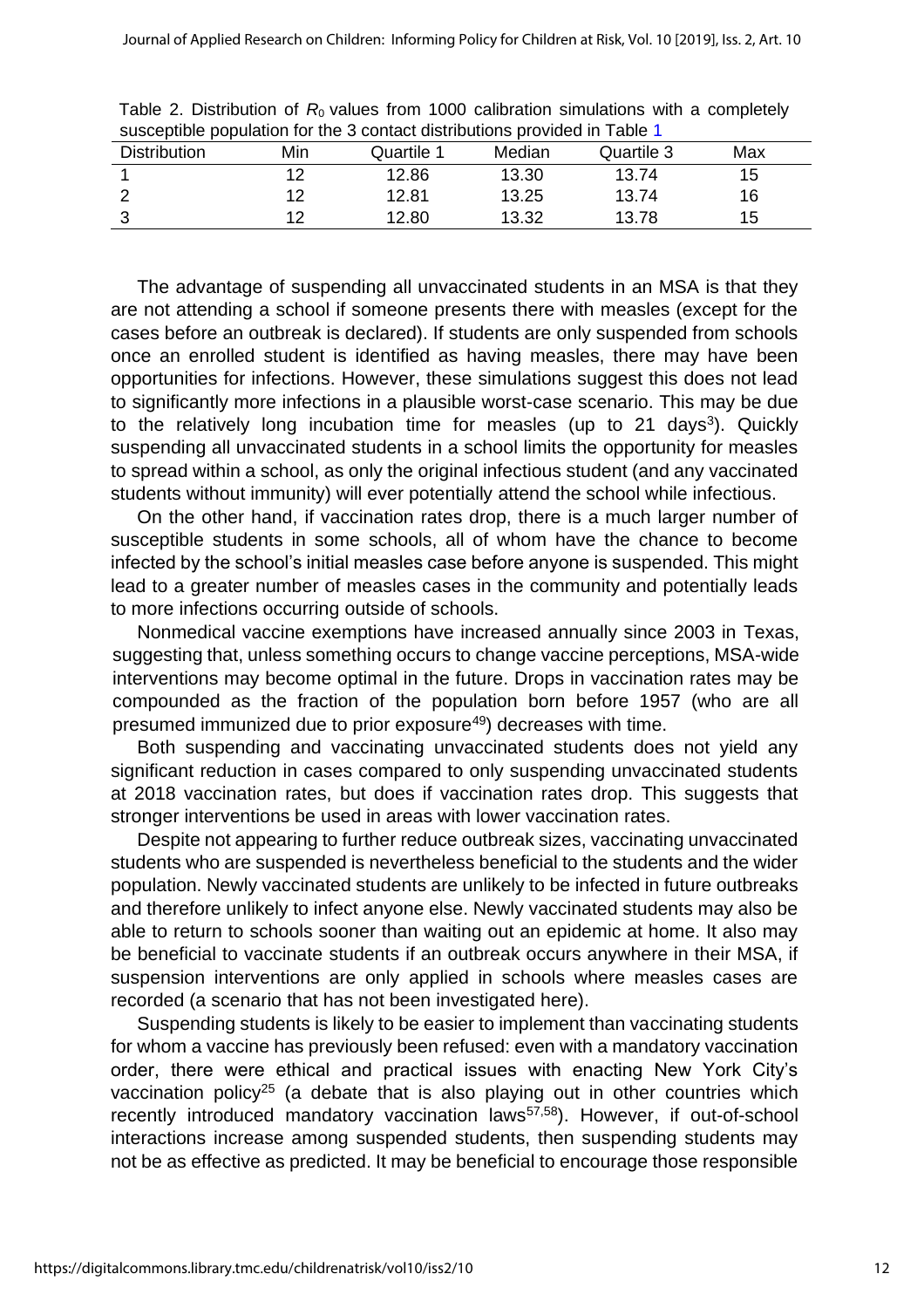| <b>Distribution</b> | Min | susceptible population for the 3 contact distributions provided in Table T<br>Quartile 1 | Median | Quartile 3 | Max |
|---------------------|-----|------------------------------------------------------------------------------------------|--------|------------|-----|
|                     | 12  | 12.86                                                                                    | 13.30  | 13.74      | 15  |
|                     | 12  | 12.81                                                                                    | 13.25  | 13.74      | 16  |
|                     | ィク  | 12.80                                                                                    | 13.32  | 13.78      | 15  |

Table 2. Distribution of  $R_0$  values from 1000 calibration simulations with a completely susceptible population for the 3 contact distributions provided in Table 1

The advantage of suspending all unvaccinated students in an MSA is that they are not attending a school if someone presents there with measles (except for the cases before an outbreak is declared). If students are only suspended from schools once an enrolled student is identified as having measles, there may have been opportunities for infections. However, these simulations suggest this does not lead to significantly more infections in a plausible worst-case scenario. This may be due to the relatively long incubation time for measles (up to 21 days<sup>3</sup>). Quickly suspending all unvaccinated students in a school limits the opportunity for measles to spread within a school, as only the original infectious student (and any vaccinated students without immunity) will ever potentially attend the school while infectious.

On the other hand, if vaccination rates drop, there is a much larger number of susceptible students in some schools, all of whom have the chance to become infected by the school's initial measles case before anyone is suspended. This might lead to a greater number of measles cases in the community and potentially leads to more infections occurring outside of schools.

Nonmedical vaccine exemptions have increased annually since 2003 in Texas, suggesting that, unless something occurs to change vaccine perceptions, MSA-wide interventions may become optimal in the future. Drops in vaccination rates may be compounded as the fraction of the population born before 1957 (who are all presumed immunized due to prior exposure<sup>49</sup>) decreases with time.

Both suspending and vaccinating unvaccinated students does not yield any significant reduction in cases compared to only suspending unvaccinated students at 2018 vaccination rates, but does if vaccination rates drop. This suggests that stronger interventions be used in areas with lower vaccination rates.

Despite not appearing to further reduce outbreak sizes, vaccinating unvaccinated students who are suspended is nevertheless beneficial to the students and the wider population. Newly vaccinated students are unlikely to be infected in future outbreaks and therefore unlikely to infect anyone else. Newly vaccinated students may also be able to return to schools sooner than waiting out an epidemic at home. It also may be beneficial to vaccinate students if an outbreak occurs anywhere in their MSA, if suspension interventions are only applied in schools where measles cases are recorded (a scenario that has not been investigated here).

Suspending students is likely to be easier to implement than vaccinating students for whom a vaccine has previously been refused: even with a mandatory vaccination order, there were ethical and practical issues with enacting New York City's vaccination policy<sup>25</sup> (a debate that is also playing out in other countries which recently introduced mandatory vaccination laws<sup>57,58</sup>). However, if out-of-school interactions increase among suspended students, then suspending students may not be as effective as predicted. It may be beneficial to encourage those responsible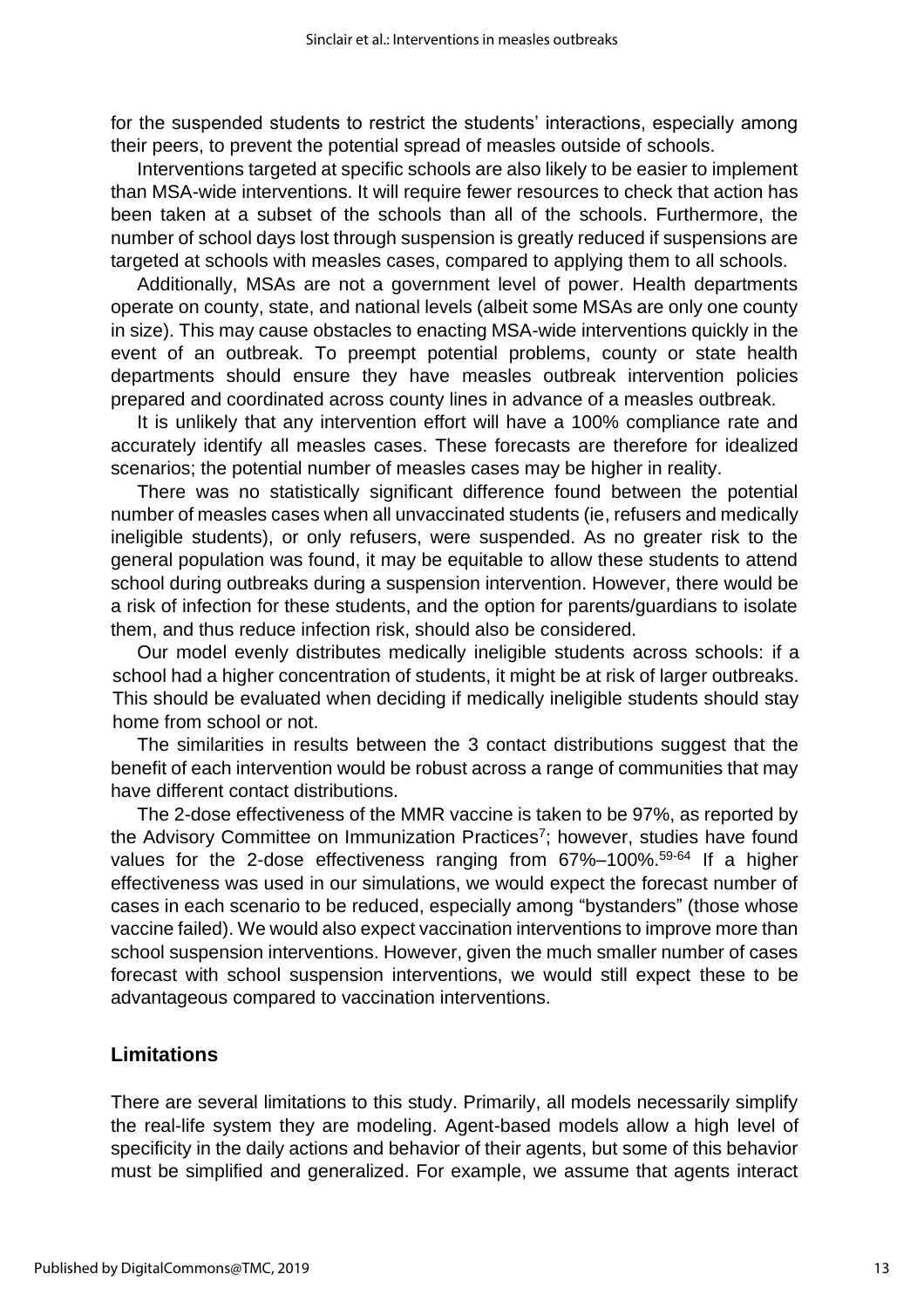for the suspended students to restrict the students' interactions, especially among their peers, to prevent the potential spread of measles outside of schools.

Interventions targeted at specific schools are also likely to be easier to implement than MSA-wide interventions. It will require fewer resources to check that action has been taken at a subset of the schools than all of the schools. Furthermore, the number of school days lost through suspension is greatly reduced if suspensions are targeted at schools with measles cases, compared to applying them to all schools.

Additionally, MSAs are not a government level of power. Health departments operate on county, state, and national levels (albeit some MSAs are only one county in size). This may cause obstacles to enacting MSA-wide interventions quickly in the event of an outbreak. To preempt potential problems, county or state health departments should ensure they have measles outbreak intervention policies prepared and coordinated across county lines in advance of a measles outbreak.

It is unlikely that any intervention effort will have a 100% compliance rate and accurately identify all measles cases. These forecasts are therefore for idealized scenarios; the potential number of measles cases may be higher in reality.

There was no statistically significant difference found between the potential number of measles cases when all unvaccinated students (ie, refusers and medically ineligible students), or only refusers, were suspended. As no greater risk to the general population was found, it may be equitable to allow these students to attend school during outbreaks during a suspension intervention. However, there would be a risk of infection for these students, and the option for parents/guardians to isolate them, and thus reduce infection risk, should also be considered.

Our model evenly distributes medically ineligible students across schools: if a school had a higher concentration of students, it might be at risk of larger outbreaks. This should be evaluated when deciding if medically ineligible students should stay home from school or not.

The similarities in results between the 3 contact distributions suggest that the benefit of each intervention would be robust across a range of communities that may have different contact distributions.

The 2-dose effectiveness of the MMR vaccine is taken to be 97%, as reported by the Advisory Committee on Immunization Practices<sup>7</sup>; however, studies have found values for the 2-dose effectiveness ranging from 67%–100%.<sup>59-64</sup> If a higher effectiveness was used in our simulations, we would expect the forecast number of cases in each scenario to be reduced, especially among "bystanders" (those whose vaccine failed). We would also expect vaccination interventions to improve more than school suspension interventions. However, given the much smaller number of cases forecast with school suspension interventions, we would still expect these to be advantageous compared to vaccination interventions.

### **Limitations**

There are several limitations to this study. Primarily, all models necessarily simplify the real-life system they are modeling. Agent-based models allow a high level of specificity in the daily actions and behavior of their agents, but some of this behavior must be simplified and generalized. For example, we assume that agents interact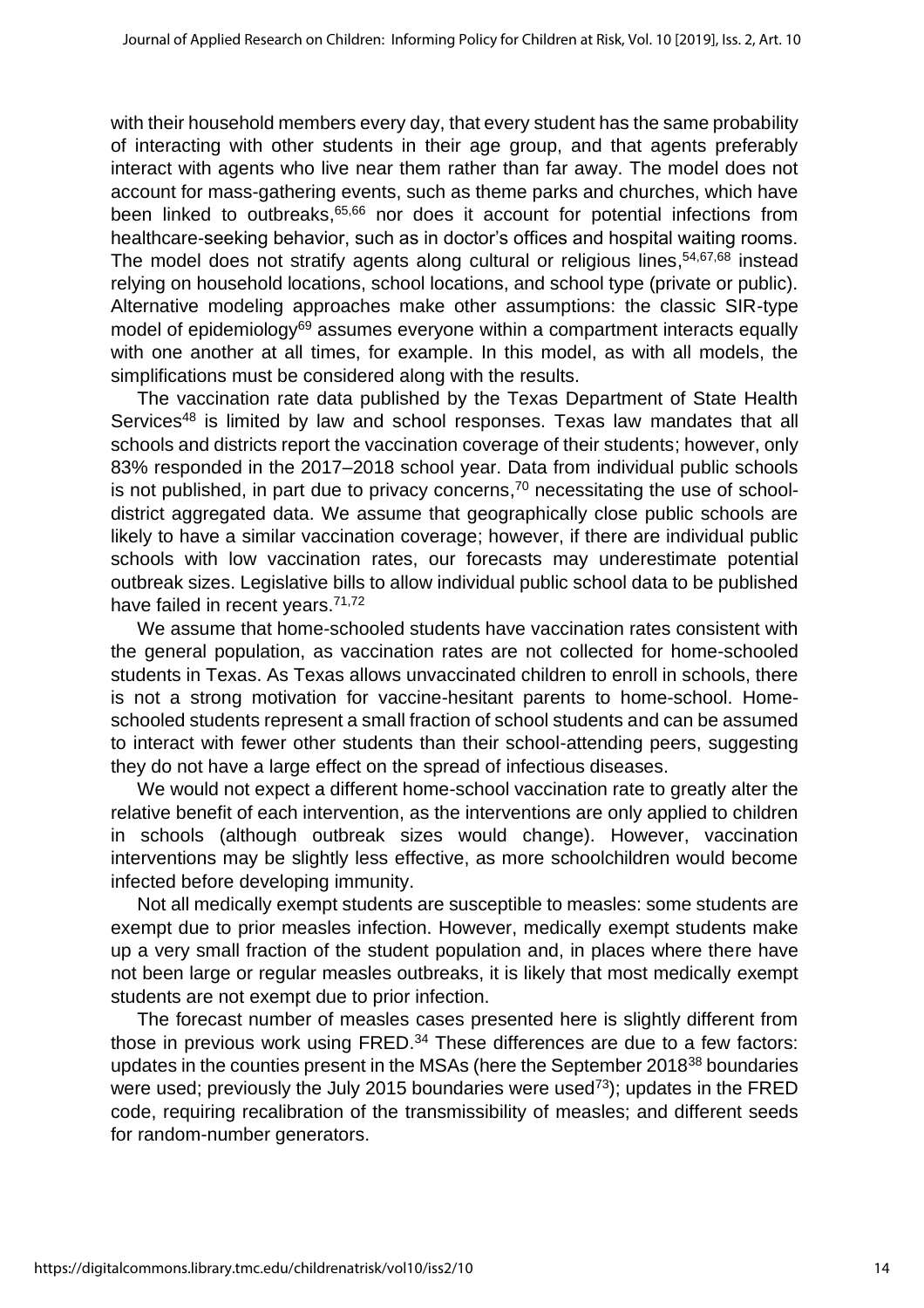with their household members every day, that every student has the same probability of interacting with other students in their age group, and that agents preferably interact with agents who live near them rather than far away. The model does not account for mass-gathering events, such as theme parks and churches, which have been linked to outbreaks, 65,66 nor does it account for potential infections from healthcare-seeking behavior, such as in doctor's offices and hospital waiting rooms. The model does not stratify agents along cultural or religious lines, 54,67,68 instead relying on household locations, school locations, and school type (private or public). Alternative modeling approaches make other assumptions: the classic SIR-type model of epidemiology $69$  assumes everyone within a compartment interacts equally with one another at all times, for example. In this model, as with all models, the simplifications must be considered along with the results.

The vaccination rate data published by the Texas Department of State Health Services<sup>48</sup> is limited by law and school responses. Texas law mandates that all schools and districts report the vaccination coverage of their students; however, only 83% responded in the 2017–2018 school year. Data from individual public schools is not published, in part due to privacy concerns, <sup>70</sup> necessitating the use of schooldistrict aggregated data. We assume that geographically close public schools are likely to have a similar vaccination coverage; however, if there are individual public schools with low vaccination rates, our forecasts may underestimate potential outbreak sizes. Legislative bills to allow individual public school data to be published have failed in recent years.<sup>71,72</sup>

We assume that home-schooled students have vaccination rates consistent with the general population, as vaccination rates are not collected for home-schooled students in Texas. As Texas allows unvaccinated children to enroll in schools, there is not a strong motivation for vaccine-hesitant parents to home-school. Homeschooled students represent a small fraction of school students and can be assumed to interact with fewer other students than their school-attending peers, suggesting they do not have a large effect on the spread of infectious diseases.

We would not expect a different home-school vaccination rate to greatly alter the relative benefit of each intervention, as the interventions are only applied to children in schools (although outbreak sizes would change). However, vaccination interventions may be slightly less effective, as more schoolchildren would become infected before developing immunity.

Not all medically exempt students are susceptible to measles: some students are exempt due to prior measles infection. However, medically exempt students make up a very small fraction of the student population and, in places where there have not been large or regular measles outbreaks, it is likely that most medically exempt students are not exempt due to prior infection.

The forecast number of measles cases presented here is slightly different from those in previous work using FRED.<sup>34</sup> These differences are due to a few factors: updates in the counties present in the MSAs (here the September 2018<sup>38</sup> boundaries were used; previously the July 2015 boundaries were used<sup>73</sup>); updates in the FRED code, requiring recalibration of the transmissibility of measles; and different seeds for random-number generators.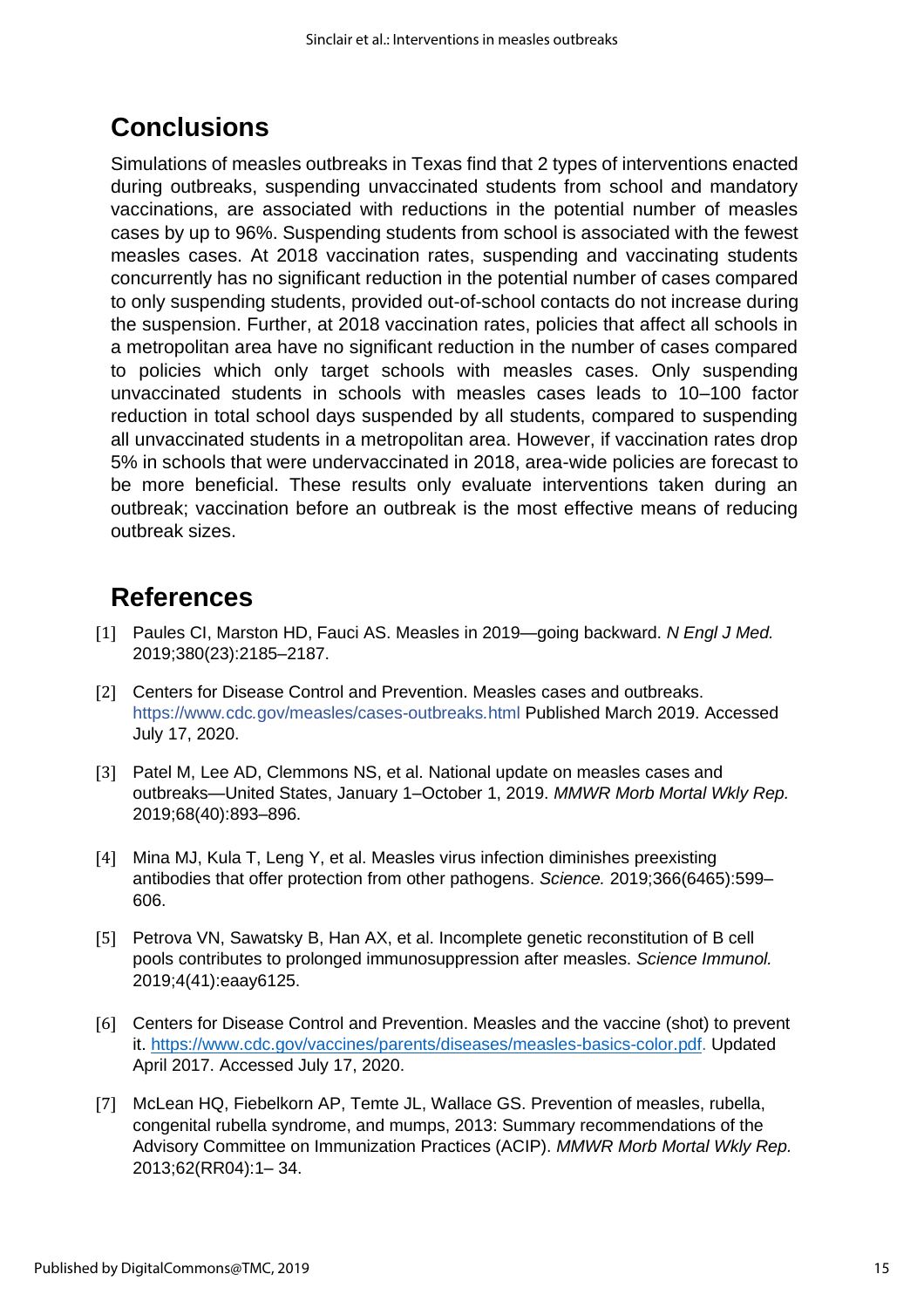# **Conclusions**

Simulations of measles outbreaks in Texas find that 2 types of interventions enacted during outbreaks, suspending unvaccinated students from school and mandatory vaccinations, are associated with reductions in the potential number of measles cases by up to 96%. Suspending students from school is associated with the fewest measles cases. At 2018 vaccination rates, suspending and vaccinating students concurrently has no significant reduction in the potential number of cases compared to only suspending students, provided out-of-school contacts do not increase during the suspension. Further, at 2018 vaccination rates, policies that affect all schools in a metropolitan area have no significant reduction in the number of cases compared to policies which only target schools with measles cases. Only suspending unvaccinated students in schools with measles cases leads to 10–100 factor reduction in total school days suspended by all students, compared to suspending all unvaccinated students in a metropolitan area. However, if vaccination rates drop 5% in schools that were undervaccinated in 2018, area-wide policies are forecast to be more beneficial. These results only evaluate interventions taken during an outbreak; vaccination before an outbreak is the most effective means of reducing outbreak sizes.

# **References**

- [1] Paules CI, Marston HD, Fauci AS. Measles in 2019—going backward. *N Engl J Med.* 2019;380(23):2185–2187.
- [2] Centers for Disease Control and Prevention. Measles cases and outbreaks. [https://www](https://www.cdc.gov/measles/cases-outbreaks.html)*[.](https://www.cdc.gov/measles/cases-outbreaks.html)*[cdc](https://www.cdc.gov/measles/cases-outbreaks.html)*[.](https://www.cdc.gov/measles/cases-outbreaks.html)*[gov/measles/cases-outbreaks](https://www.cdc.gov/measles/cases-outbreaks.html)*[.](https://www.cdc.gov/measles/cases-outbreaks.html)*[html](https://www.cdc.gov/measles/cases-outbreaks.html) Published March 2019. Accessed July 17, 2020.
- [3] Patel M, Lee AD, Clemmons NS, et al. National update on measles cases and outbreaks—United States, January 1–October 1, 2019. *MMWR Morb Mortal Wkly Rep.* 2019;68(40):893–896.
- [4] Mina MJ, Kula T, Leng Y, et al. Measles virus infection diminishes preexisting antibodies that offer protection from other pathogens. *Science.* 2019;366(6465):599– 606.
- [5] Petrova VN, Sawatsky B, Han AX, et al. Incomplete genetic reconstitution of B cell pools contributes to prolonged immunosuppression after measles. *Science Immunol.* 2019;4(41):eaay6125.
- [6] Centers for Disease Control and Prevention. Measles and the vaccine (shot) to prevent it. [https://www.cdc.gov/vaccines/parents/diseases/measles-basics-color.pdf.](https://www.cdc.gov/vaccines/parents/diseases/measles-basics-color.pdf) Updated April 2017. Accessed July 17, 2020.
- [7] McLean HQ, Fiebelkorn AP, Temte JL, Wallace GS. Prevention of measles, rubella, congenital rubella syndrome, and mumps, 2013: Summary recommendations of the Advisory Committee on Immunization Practices (ACIP). *MMWR Morb Mortal Wkly Rep.* 2013;62(RR04):1– 34.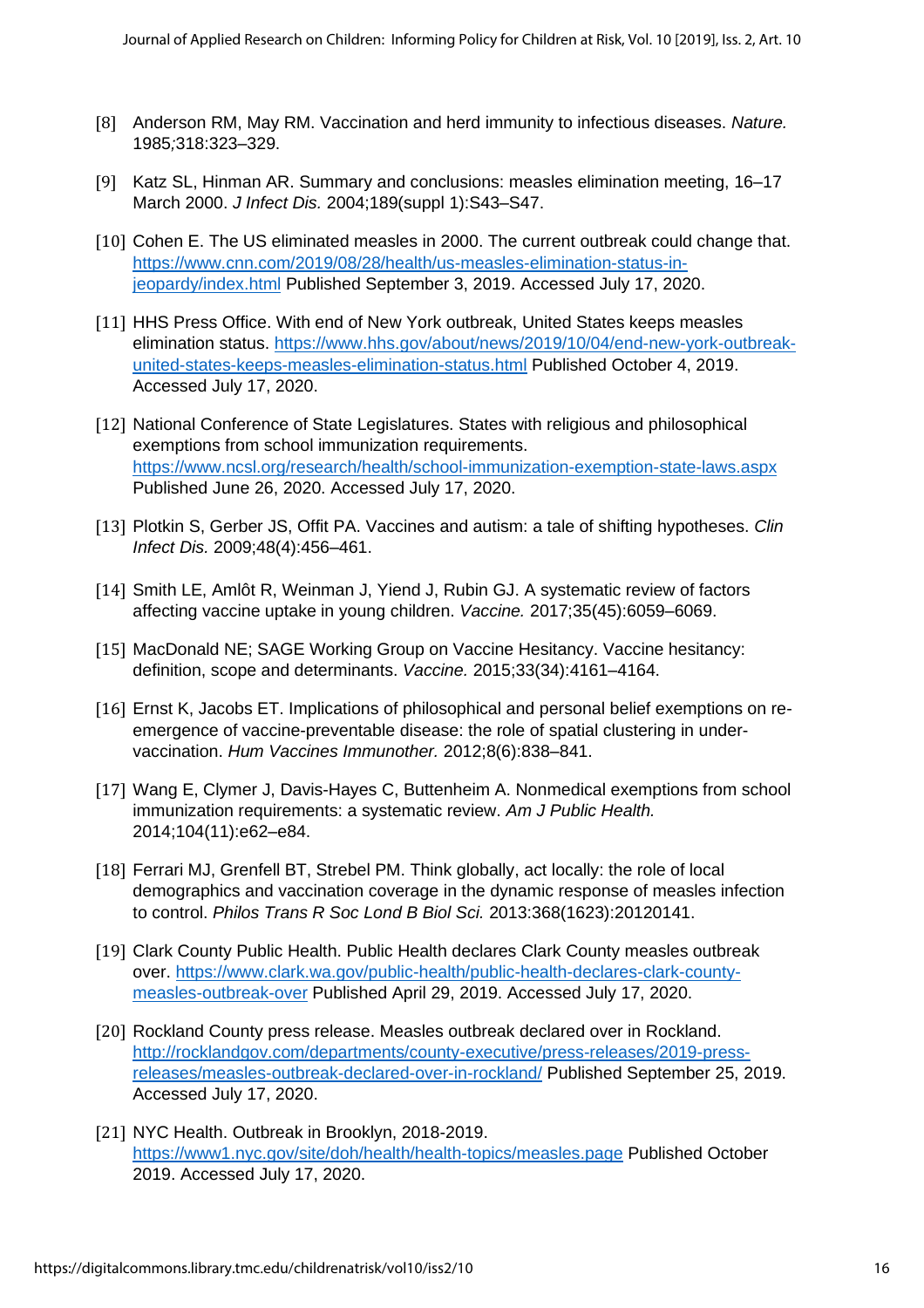- [8] Anderson RM, May RM. Vaccination and herd immunity to infectious diseases. *Nature.*  1985*;*318:323–329.
- [9] Katz SL, Hinman AR. Summary and conclusions: measles elimination meeting, 16–17 March 2000. *J Infect Dis.* 2004;189(suppl 1):S43–S47.
- [10] Cohen E. The US eliminated measles in 2000. The current outbreak could change that. [https://www.cnn.com/2019/08/28/health/us-measles-elimination-status-in](https://www.cnn.com/2019/08/28/health/us-measles-elimination-status-in-jeopardy/index.html)[jeopardy/index.html](https://www.cnn.com/2019/08/28/health/us-measles-elimination-status-in-jeopardy/index.html) Published September 3, 2019. Accessed July 17, 2020.
- [11] HHS Press Office. With end of New York outbreak, United States keeps measles elimination status. [https://www.hhs.gov/about/news/2019/10/04/end-new-york-outbreak](https://www.hhs.gov/about/news/2019/10/04/end-new-york-outbreak-united-states-keeps-measles-elimination-status.html)[united-states-keeps-measles-elimination-status.html](https://www.hhs.gov/about/news/2019/10/04/end-new-york-outbreak-united-states-keeps-measles-elimination-status.html) Published October 4, 2019. Accessed July 17, 2020.
- [12] National Conference of State Legislatures. States with religious and philosophical exemptions from school immunization requirements. <https://www.ncsl.org/research/health/school-immunization-exemption-state-laws.aspx> Published June 26, 2020. Accessed July 17, 2020.
- [13] Plotkin S, Gerber JS, Offit PA. Vaccines and autism: a tale of shifting hypotheses. *Clin Infect Dis.* 2009;48(4):456–461.
- [14] Smith LE, Amlôt R, Weinman J, Yiend J, Rubin GJ. A systematic review of factors affecting vaccine uptake in young children. *Vaccine.* 2017;35(45):6059–6069.
- [15] MacDonald NE; SAGE Working Group on Vaccine Hesitancy. Vaccine hesitancy: definition, scope and determinants. *Vaccine.* 2015;33(34):4161–4164.
- [16] Ernst K, Jacobs ET. Implications of philosophical and personal belief exemptions on reemergence of vaccine-preventable disease: the role of spatial clustering in undervaccination. *Hum Vaccines Immunother.* 2012;8(6):838–841.
- [17] Wang E, Clymer J, Davis-Hayes C, Buttenheim A. Nonmedical exemptions from school immunization requirements: a systematic review. *Am J Public Health.* 2014;104(11):e62–e84.
- [18] Ferrari MJ, Grenfell BT, Strebel PM. Think globally, act locally: the role of local demographics and vaccination coverage in the dynamic response of measles infection to control. *Philos Trans R Soc Lond B Biol Sci.* 2013:368(1623):20120141.
- [19] Clark County Public Health. Public Health declares Clark County measles outbreak over. [https://www.clark.wa.gov/public-health/public-health-declares-clark-county](https://www.clark.wa.gov/public-health/public-health-declares-clark-county-measles-outbreak-over)[measles-outbreak-over](https://www.clark.wa.gov/public-health/public-health-declares-clark-county-measles-outbreak-over) Published April 29, 2019. Accessed July 17, 2020.
- [20] Rockland County press release. Measles outbreak declared over in Rockland. [http://rocklandgov.com/departments/county-executive/press-releases/2019-press](http://rocklandgov.com/departments/county-executive/press-releases/2019-press-releases/measles-outbreak-declared-over-in-rockland/)[releases/measles-outbreak-declared-over-in-rockland/](http://rocklandgov.com/departments/county-executive/press-releases/2019-press-releases/measles-outbreak-declared-over-in-rockland/) Published September 25, 2019. Accessed July 17, 2020.
- [21] NYC Health. Outbreak in Brooklyn, 2018-2019. <https://www1.nyc.gov/site/doh/health/health-topics/measles.page> Published October 2019. Accessed July 17, 2020.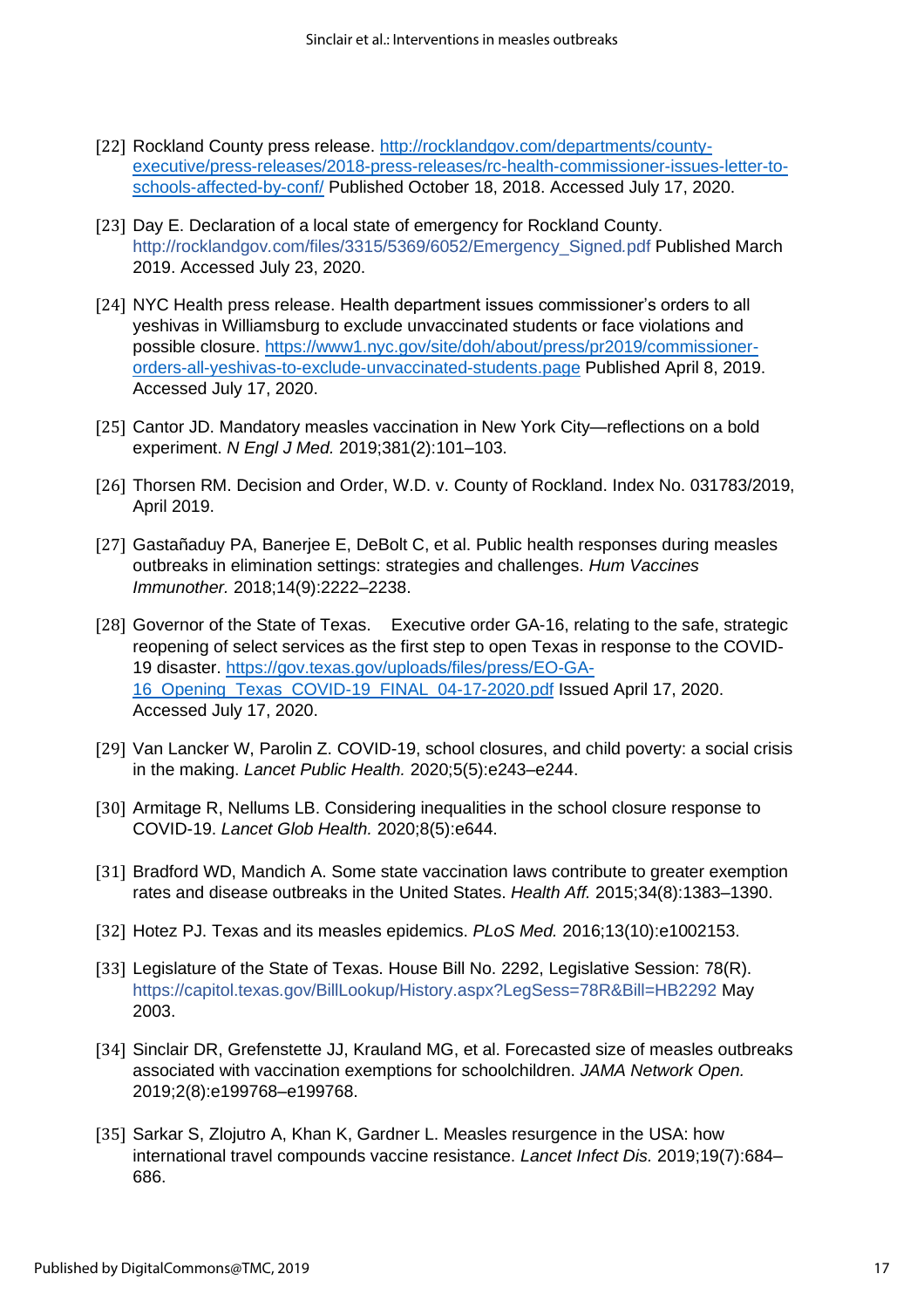- [22] Rockland County press release. [http://rocklandgov.com/departments/county](http://rocklandgov.com/departments/county-executive/press-releases/2018-press-releases/rc-health-commissioner-issues-letter-to-schools-affected-by-conf/)[executive/press-releases/2018-press-releases/rc-health-commissioner-issues-letter-to](http://rocklandgov.com/departments/county-executive/press-releases/2018-press-releases/rc-health-commissioner-issues-letter-to-schools-affected-by-conf/)[schools-affected-by-conf/](http://rocklandgov.com/departments/county-executive/press-releases/2018-press-releases/rc-health-commissioner-issues-letter-to-schools-affected-by-conf/) Published October 18, 2018. Accessed July 17, 2020.
- [23] Day E. Declaration of a local state of emergency for Rockland County. [http://rocklandgov](http://rocklandgov.com/files/3315/5369/6052/Emergency_Signed.pdf)*[.](http://rocklandgov.com/files/3315/5369/6052/Emergency_Signed.pdf)*[com/files/3315/5369/6052/Emergency\\_Signed](http://rocklandgov.com/files/3315/5369/6052/Emergency_Signed.pdf)*[.](http://rocklandgov.com/files/3315/5369/6052/Emergency_Signed.pdf)*[pdf](http://rocklandgov.com/files/3315/5369/6052/Emergency_Signed.pdf) Published March 2019. Accessed July 23, 2020.
- [24] NYC Health press release. Health department issues commissioner's orders to all yeshivas in Williamsburg to exclude unvaccinated students or face violations and possible closure. [https://www1.nyc.gov/site/doh/about/press/pr2019/commissioner](https://www1.nyc.gov/site/doh/about/press/pr2019/commissioner-orders-all-yeshivas-to-exclude-unvaccinated-students.page)[orders-all-yeshivas-to-exclude-unvaccinated-students.page](https://www1.nyc.gov/site/doh/about/press/pr2019/commissioner-orders-all-yeshivas-to-exclude-unvaccinated-students.page) Published April 8, 2019. Accessed July 17, 2020.
- [25] Cantor JD. Mandatory measles vaccination in New York City—reflections on a bold experiment. *N Engl J Med.* 2019;381(2):101–103.
- [26] Thorsen RM. Decision and Order, W.D. v. County of Rockland. Index No. 031783/2019, April 2019.
- [27] Gastañaduy PA, Banerjee E, DeBolt C, et al. Public health responses during measles outbreaks in elimination settings: strategies and challenges. *Hum Vaccines Immunother.* 2018;14(9):2222–2238.
- [28] Governor of the State of Texas. Executive order GA-16, relating to the safe, strategic reopening of select services as the first step to open Texas in response to the COVID-19 disaster. [https://gov.texas.gov/uploads/files/press/EO-GA-](https://gov.texas.gov/uploads/files/press/EO-GA-16_Opening_Texas_COVID-19_FINAL_04-17-2020.pdf)[16\\_Opening\\_Texas\\_COVID-19\\_FINAL\\_04-17-2020.pdf](https://gov.texas.gov/uploads/files/press/EO-GA-16_Opening_Texas_COVID-19_FINAL_04-17-2020.pdf) Issued April 17, 2020. Accessed July 17, 2020.
- [29] Van Lancker W, Parolin Z. COVID-19, school closures, and child poverty: a social crisis in the making. *Lancet Public Health.* 2020;5(5):e243–e244.
- [30] Armitage R, Nellums LB. Considering inequalities in the school closure response to COVID-19. *Lancet Glob Health.* 2020;8(5):e644.
- [31] Bradford WD, Mandich A. Some state vaccination laws contribute to greater exemption rates and disease outbreaks in the United States. *Health Aff.* 2015;34(8):1383–1390.
- [32] Hotez PJ. Texas and its measles epidemics. *PLoS Med.* 2016;13(10):e1002153.
- [33] Legislature of the State of Texas. House Bill No. 2292, Legislative Session: 78(R). <https://capitol.texas.gov/BillLookup/History.aspx?LegSess=78R&Bill=HB2292> May 2003.
- [34] Sinclair DR, Grefenstette JJ, Krauland MG, et al. Forecasted size of measles outbreaks associated with vaccination exemptions for schoolchildren. *JAMA Network Open.* 2019;2(8):e199768–e199768.
- [35] Sarkar S, Zlojutro A, Khan K, Gardner L. Measles resurgence in the USA: how international travel compounds vaccine resistance. *Lancet Infect Dis.* 2019;19(7):684– 686.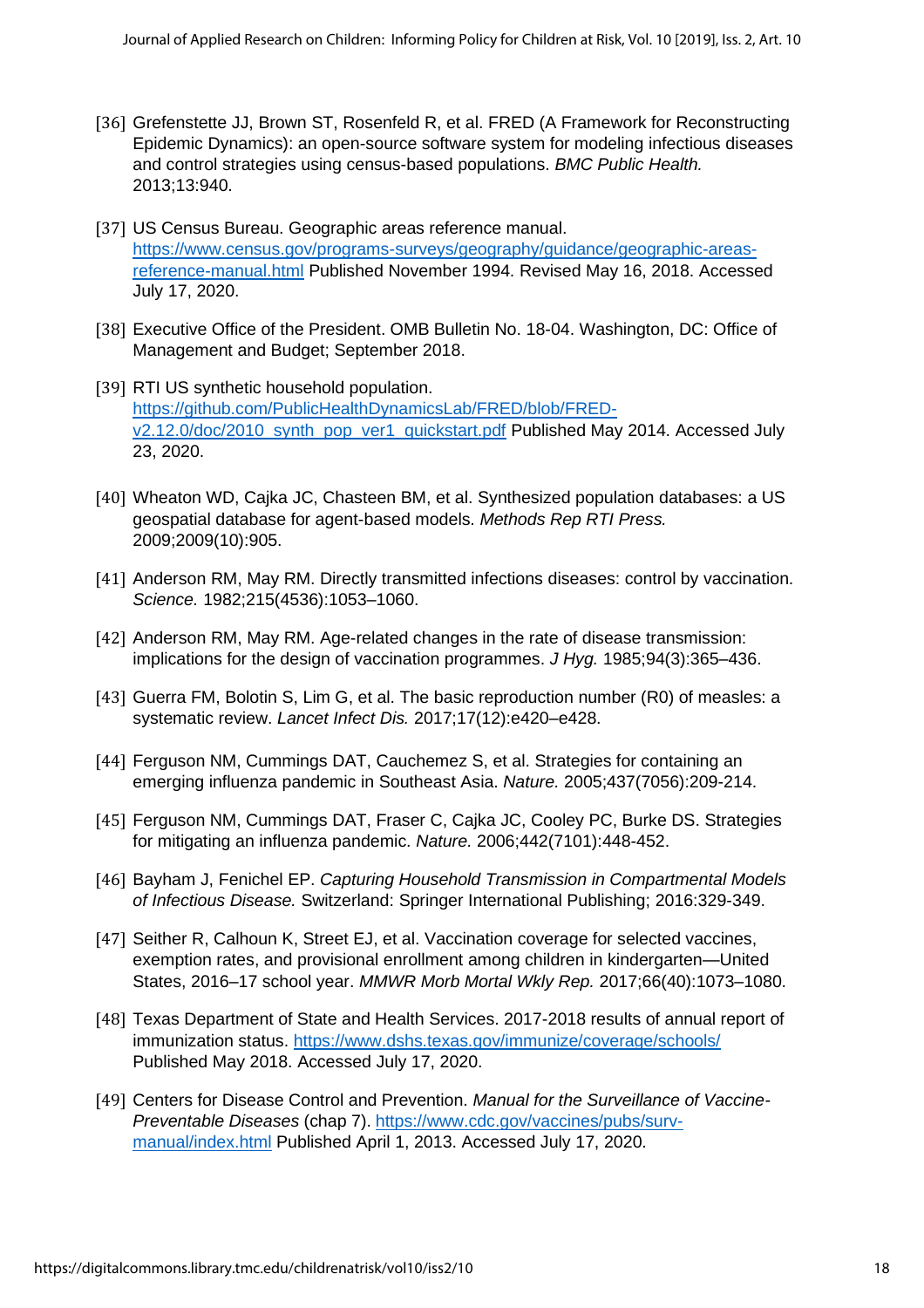- [36] Grefenstette JJ, Brown ST, Rosenfeld R, et al. FRED (A Framework for Reconstructing Epidemic Dynamics): an open-source software system for modeling infectious diseases and control strategies using census-based populations. *BMC Public Health.* 2013;13:940.
- [37] US Census Bureau. Geographic areas reference manual. [https://www.census.gov/programs-surveys/geography/guidance/geographic-areas](https://www.census.gov/programs-surveys/geography/guidance/geographic-areas-reference-manual.html)[reference-manual.html](https://www.census.gov/programs-surveys/geography/guidance/geographic-areas-reference-manual.html) Published November 1994. Revised May 16, 2018. Accessed July 17, 2020.
- [38] Executive Office of the President. OMB Bulletin No. 18-04. Washington, DC: Office of Management and Budget; September 2018.
- [39] RTI US synthetic household population. [https://github.com/PublicHealthDynamicsLab/FRED/blob/FRED](https://github.com/PublicHealthDynamicsLab/FRED/blob/FRED-v2.12.0/doc/2010_synth_pop_ver1_quickstart.pdf)[v2.12.0/doc/2010\\_synth\\_pop\\_ver1\\_quickstart.pdf](https://github.com/PublicHealthDynamicsLab/FRED/blob/FRED-v2.12.0/doc/2010_synth_pop_ver1_quickstart.pdf) Published May 2014. Accessed July 23, 2020.
- [40] Wheaton WD, Cajka JC, Chasteen BM, et al. Synthesized population databases: a US geospatial database for agent-based models. *Methods Rep RTI Press.* 2009;2009(10):905.
- [41] Anderson RM, May RM. Directly transmitted infections diseases: control by vaccination. *Science.* 1982;215(4536):1053–1060.
- [42] Anderson RM, May RM. Age-related changes in the rate of disease transmission: implications for the design of vaccination programmes. *J Hyg.* 1985;94(3):365–436.
- [43] Guerra FM, Bolotin S, Lim G, et al. The basic reproduction number (R0) of measles: a systematic review. *Lancet Infect Dis.* 2017;17(12):e420–e428.
- [44] Ferguson NM, Cummings DAT, Cauchemez S, et al. Strategies for containing an emerging influenza pandemic in Southeast Asia. *Nature.* 2005;437(7056):209-214.
- [45] Ferguson NM, Cummings DAT, Fraser C, Cajka JC, Cooley PC, Burke DS. Strategies for mitigating an influenza pandemic. *Nature.* 2006;442(7101):448-452.
- [46] Bayham J, Fenichel EP. *Capturing Household Transmission in Compartmental Models of Infectious Disease.* Switzerland: Springer International Publishing; 2016:329-349.
- [47] Seither R, Calhoun K, Street EJ, et al. Vaccination coverage for selected vaccines, exemption rates, and provisional enrollment among children in kindergarten—United States, 2016–17 school year. *MMWR Morb Mortal Wkly Rep.* 2017;66(40):1073–1080.
- [48] Texas Department of State and Health Services. 2017-2018 results of annual report of immunization status.<https://www.dshs.texas.gov/immunize/coverage/schools/> Published May 2018. Accessed July 17, 2020.
- [49] Centers for Disease Control and Prevention. *Manual for the Surveillance of Vaccine-Preventable Diseases* (chap 7). [https://www.cdc.gov/vaccines/pubs/surv](https://www.cdc.gov/vaccines/pubs/surv-manual/index.html)[manual/index.html](https://www.cdc.gov/vaccines/pubs/surv-manual/index.html) Published April 1, 2013. Accessed July 17, 2020.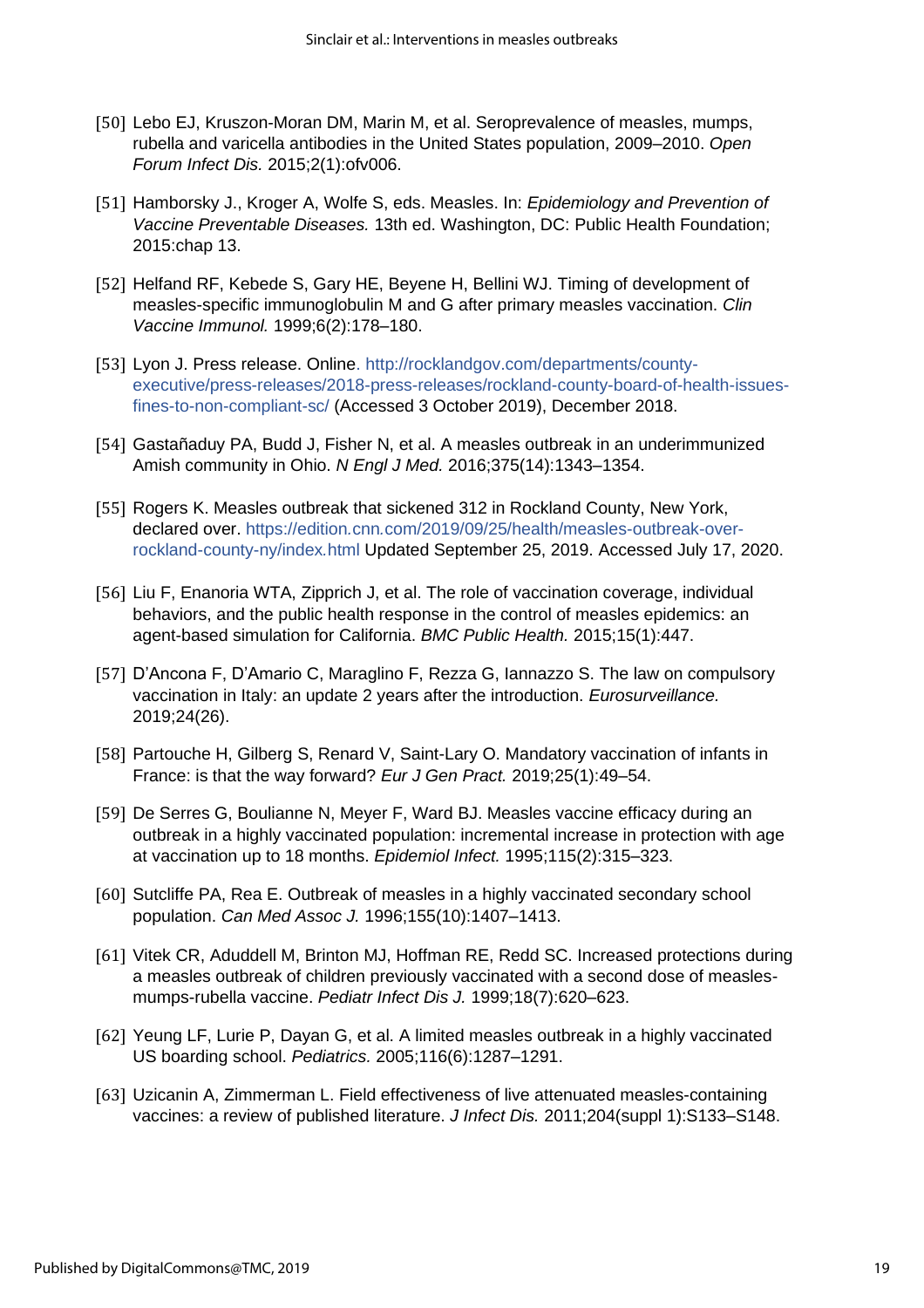- [50] Lebo EJ, Kruszon-Moran DM, Marin M, et al. Seroprevalence of measles, mumps, rubella and varicella antibodies in the United States population, 2009–2010. *Open Forum Infect Dis.* 2015;2(1):ofv006.
- [51] Hamborsky J., Kroger A, Wolfe S, eds. Measles. In: *Epidemiology and Prevention of Vaccine Preventable Diseases.* 13th ed. Washington, DC: Public Health Foundation; 2015:chap 13.
- [52] Helfand RF, Kebede S, Gary HE, Beyene H, Bellini WJ. Timing of development of measles-specific immunoglobulin M and G after primary measles vaccination. *Clin Vaccine Immunol.* 1999;6(2):178–180.
- [53] Lyon J. Press release. Online. [http://rocklandgov.com/departments/county](http://rocklandgov.com/departments/county-executive/press-releases/2018-press-releases/rockland-county-board-of-health-issues-fines-to-non-compliant-sc/)[executive/press-releases/2018-press-releases/rockland-county-board-of-health-issues](http://rocklandgov.com/departments/county-executive/press-releases/2018-press-releases/rockland-county-board-of-health-issues-fines-to-non-compliant-sc/)[fines-to-non-compliant-sc/](http://rocklandgov.com/departments/county-executive/press-releases/2018-press-releases/rockland-county-board-of-health-issues-fines-to-non-compliant-sc/) (Accessed 3 October 2019), December 2018.
- [54] Gastañaduy PA, Budd J, Fisher N, et al. A measles outbreak in an underimmunized Amish community in Ohio. *N Engl J Med.* 2016;375(14):1343–1354.
- [55] Rogers K. Measles outbreak that sickened 312 in Rockland County, New York, declared over. [https://edition](https://edition.cnn.com/2019/09/25/health/measles-outbreak-over-rockland-county-ny/index.html)*[.](https://edition.cnn.com/2019/09/25/health/measles-outbreak-over-rockland-county-ny/index.html)*[cnn](https://edition.cnn.com/2019/09/25/health/measles-outbreak-over-rockland-county-ny/index.html)*[.](https://edition.cnn.com/2019/09/25/health/measles-outbreak-over-rockland-county-ny/index.html)*[com/2019/09/25/health/measles-outbreak-over](https://edition.cnn.com/2019/09/25/health/measles-outbreak-over-rockland-county-ny/index.html)[rockland-county-ny/index](https://edition.cnn.com/2019/09/25/health/measles-outbreak-over-rockland-county-ny/index.html)*[.](https://edition.cnn.com/2019/09/25/health/measles-outbreak-over-rockland-county-ny/index.html)*[html](https://edition.cnn.com/2019/09/25/health/measles-outbreak-over-rockland-county-ny/index.html) Updated September 25, 2019. Accessed July 17, 2020.
- [56] Liu F, Enanoria WTA, Zipprich J, et al. The role of vaccination coverage, individual behaviors, and the public health response in the control of measles epidemics: an agent-based simulation for California. *BMC Public Health.* 2015;15(1):447.
- [57] D'Ancona F, D'Amario C, Maraglino F, Rezza G, Iannazzo S. The law on compulsory vaccination in Italy: an update 2 years after the introduction. *Eurosurveillance.* 2019;24(26).
- [58] Partouche H, Gilberg S, Renard V, Saint-Lary O. Mandatory vaccination of infants in France: is that the way forward? *Eur J Gen Pract.* 2019;25(1):49–54.
- [59] De Serres G, Boulianne N, Meyer F, Ward BJ. Measles vaccine efficacy during an outbreak in a highly vaccinated population: incremental increase in protection with age at vaccination up to 18 months. *Epidemiol Infect.* 1995;115(2):315–323.
- [60] Sutcliffe PA, Rea E. Outbreak of measles in a highly vaccinated secondary school population. *Can Med Assoc J.* 1996;155(10):1407–1413.
- [61] Vitek CR, Aduddell M, Brinton MJ, Hoffman RE, Redd SC. Increased protections during a measles outbreak of children previously vaccinated with a second dose of measlesmumps-rubella vaccine. *Pediatr Infect Dis J.* 1999;18(7):620–623.
- [62] Yeung LF, Lurie P, Dayan G, et al. A limited measles outbreak in a highly vaccinated US boarding school. *Pediatrics.* 2005;116(6):1287–1291.
- [63] Uzicanin A, Zimmerman L. Field effectiveness of live attenuated measles-containing vaccines: a review of published literature. *J Infect Dis.* 2011;204(suppl 1):S133–S148.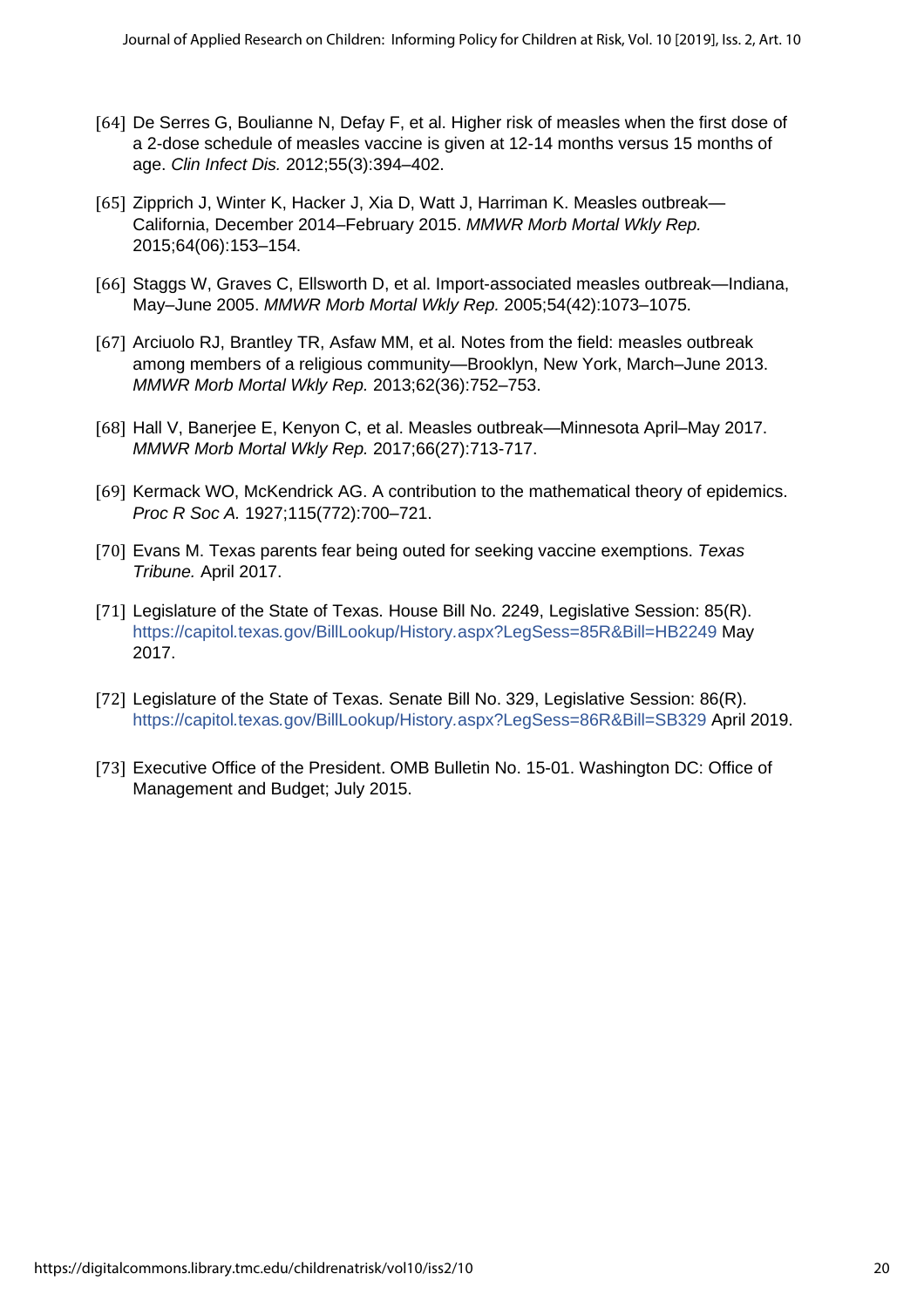- [64] De Serres G, Boulianne N, Defay F, et al. Higher risk of measles when the first dose of a 2-dose schedule of measles vaccine is given at 12-14 months versus 15 months of age. *Clin Infect Dis.* 2012;55(3):394–402.
- [65] Zipprich J, Winter K, Hacker J, Xia D, Watt J, Harriman K. Measles outbreak-California, December 2014–February 2015. *MMWR Morb Mortal Wkly Rep.* 2015;64(06):153–154.
- [66] Staggs W, Graves C, Ellsworth D, et al. Import-associated measles outbreak—Indiana, May–June 2005. *MMWR Morb Mortal Wkly Rep.* 2005;54(42):1073–1075.
- [67] Arciuolo RJ, Brantley TR, Asfaw MM, et al. Notes from the field: measles outbreak among members of a religious community—Brooklyn, New York, March–June 2013. *MMWR Morb Mortal Wkly Rep.* 2013;62(36):752–753.
- [68] Hall V, Banerjee E, Kenyon C, et al. Measles outbreak—Minnesota April–May 2017. *MMWR Morb Mortal Wkly Rep.* 2017;66(27):713-717.
- [69] Kermack WO, McKendrick AG. A contribution to the mathematical theory of epidemics. *Proc R Soc A.* 1927;115(772):700–721.
- [70] Evans M. Texas parents fear being outed for seeking vaccine exemptions. *Texas Tribune.* April 2017.
- [71] Legislature of the State of Texas. House Bill No. 2249, Legislative Session: 85(R). [https://capitol](https://capitol.texas.gov/BillLookup/History.aspx?LegSess=85R&Bill=HB2249)*[.](https://capitol.texas.gov/BillLookup/History.aspx?LegSess=85R&Bill=HB2249)*[texas](https://capitol.texas.gov/BillLookup/History.aspx?LegSess=85R&Bill=HB2249)*[.](https://capitol.texas.gov/BillLookup/History.aspx?LegSess=85R&Bill=HB2249)*[gov/BillLookup/History](https://capitol.texas.gov/BillLookup/History.aspx?LegSess=85R&Bill=HB2249)*[.](https://capitol.texas.gov/BillLookup/History.aspx?LegSess=85R&Bill=HB2249)*[aspx?LegSess=85R&Bill=HB2249](https://capitol.texas.gov/BillLookup/History.aspx?LegSess=85R&Bill=HB2249) May 2017.
- [72] Legislature of the State of Texas. Senate Bill No. 329, Legislative Session: 86(R). [https://capitol](https://capitol.texas.gov/BillLookup/History.aspx?LegSess=86R&Bill=SB329)*[.](https://capitol.texas.gov/BillLookup/History.aspx?LegSess=86R&Bill=SB329)*[texas](https://capitol.texas.gov/BillLookup/History.aspx?LegSess=86R&Bill=SB329)*[.](https://capitol.texas.gov/BillLookup/History.aspx?LegSess=86R&Bill=SB329)*[gov/BillLookup/History](https://capitol.texas.gov/BillLookup/History.aspx?LegSess=86R&Bill=SB329)*[.](https://capitol.texas.gov/BillLookup/History.aspx?LegSess=86R&Bill=SB329)*[aspx?LegSess=86R&Bill=SB329](https://capitol.texas.gov/BillLookup/History.aspx?LegSess=86R&Bill=SB329) April 2019.
- [73] Executive Office of the President. OMB Bulletin No. 15-01. Washington DC: Office of Management and Budget; July 2015.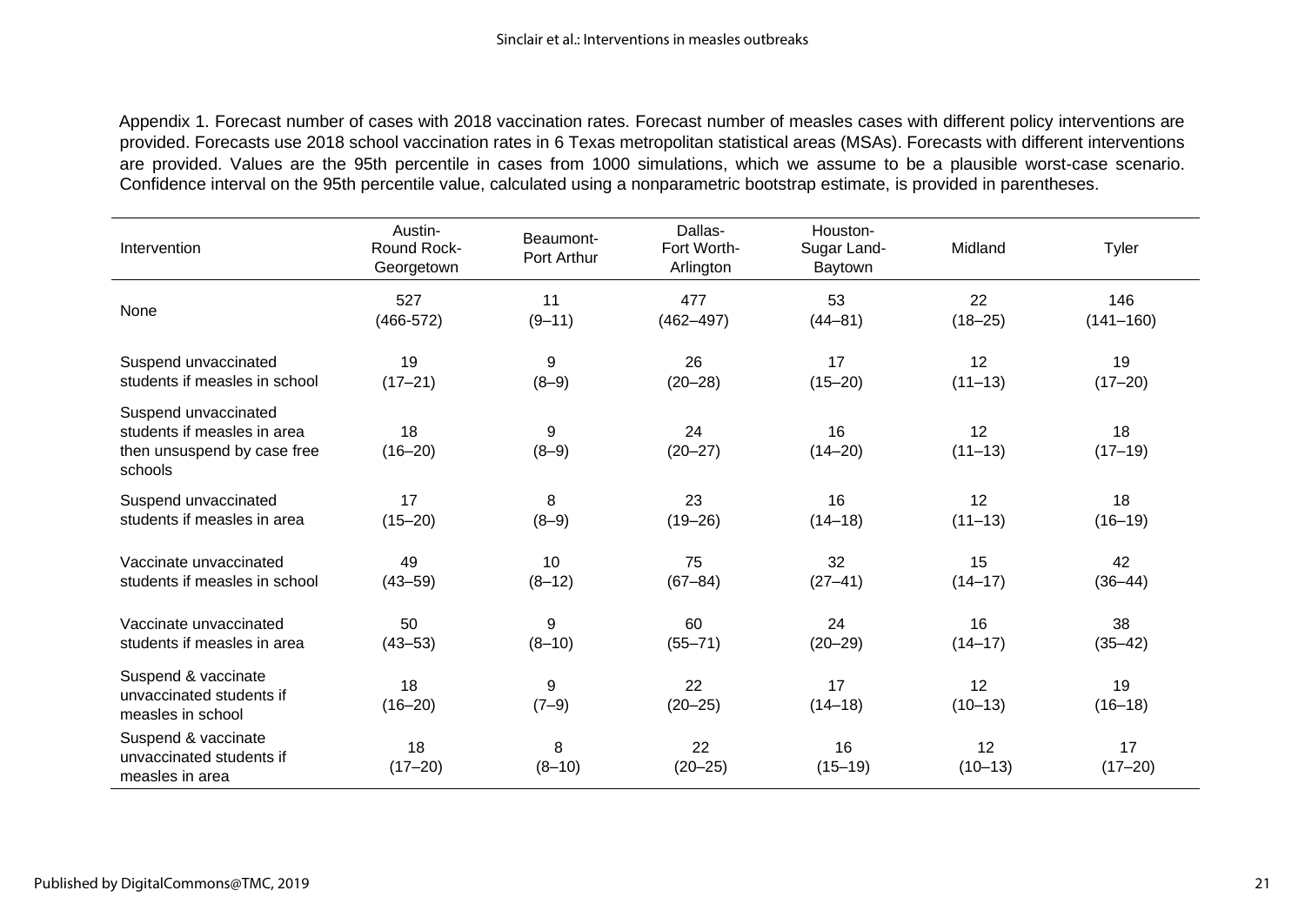Appendix 1. Forecast number of cases with 2018 vaccination rates. Forecast number of measles cases with different policy interventions are provided. Forecasts use 2018 school vaccination rates in 6 Texas metropolitan statistical areas (MSAs). Forecasts with different interventions are provided. Values are the 95th percentile in cases from 1000 simulations, which we assume to be a plausible worst-case scenario. Confidence interval on the 95th percentile value, calculated using a nonparametric bootstrap estimate, is provided in parentheses.

| Intervention                                                                                  | Austin-<br>Round Rock-<br>Georgetown | Beaumont-<br>Port Arthur | Dallas-<br>Fort Worth-<br>Arlington | Houston-<br>Sugar Land-<br>Baytown | Midland           | Tyler             |
|-----------------------------------------------------------------------------------------------|--------------------------------------|--------------------------|-------------------------------------|------------------------------------|-------------------|-------------------|
| None                                                                                          | 527                                  | 11                       | 477                                 | 53                                 | 22                | 146               |
|                                                                                               | $(466-572)$                          | $(9 - 11)$               | $(462 - 497)$                       | $(44 - 81)$                        | $(18 - 25)$       | $(141 - 160)$     |
| Suspend unvaccinated                                                                          | 19                                   | 9                        | 26                                  | 17                                 | 12                | 19                |
| students if measles in school                                                                 | $(17 - 21)$                          | $(8-9)$                  | $(20 - 28)$                         | $(15 - 20)$                        | $(11 - 13)$       | $(17 - 20)$       |
| Suspend unvaccinated<br>students if measles in area<br>then unsuspend by case free<br>schools | 18<br>$(16 - 20)$                    | 9<br>$(8-9)$             | 24<br>$(20 - 27)$                   | 16<br>$(14 - 20)$                  | 12<br>$(11 - 13)$ | 18<br>$(17-19)$   |
| Suspend unvaccinated                                                                          | 17                                   | 8                        | 23                                  | 16                                 | 12                | 18                |
| students if measles in area                                                                   | $(15 - 20)$                          | $(8-9)$                  | $(19 - 26)$                         | $(14 - 18)$                        | $(11 - 13)$       | $(16 - 19)$       |
| Vaccinate unvaccinated                                                                        | 49                                   | 10                       | 75                                  | 32                                 | 15                | 42                |
| students if measles in school                                                                 | $(43 - 59)$                          | $(8-12)$                 | $(67 - 84)$                         | $(27 - 41)$                        | $(14 - 17)$       | $(36 - 44)$       |
| Vaccinate unvaccinated                                                                        | 50                                   | 9                        | 60                                  | 24                                 | 16                | 38                |
| students if measles in area                                                                   | $(43 - 53)$                          | $(8 - 10)$               | $(55 - 71)$                         | $(20 - 29)$                        | $(14 - 17)$       | $(35 - 42)$       |
| Suspend & vaccinate<br>unvaccinated students if<br>measles in school                          | 18<br>$(16 - 20)$                    | 9<br>$(7-9)$             | 22<br>$(20 - 25)$                   | 17<br>$(14 - 18)$                  | 12<br>$(10-13)$   | 19<br>$(16 - 18)$ |
| Suspend & vaccinate<br>unvaccinated students if<br>measles in area                            | 18<br>$(17 - 20)$                    | 8<br>$(8 - 10)$          | 22<br>$(20 - 25)$                   | 16<br>$(15 - 19)$                  | 12<br>$(10-13)$   | 17<br>$(17 - 20)$ |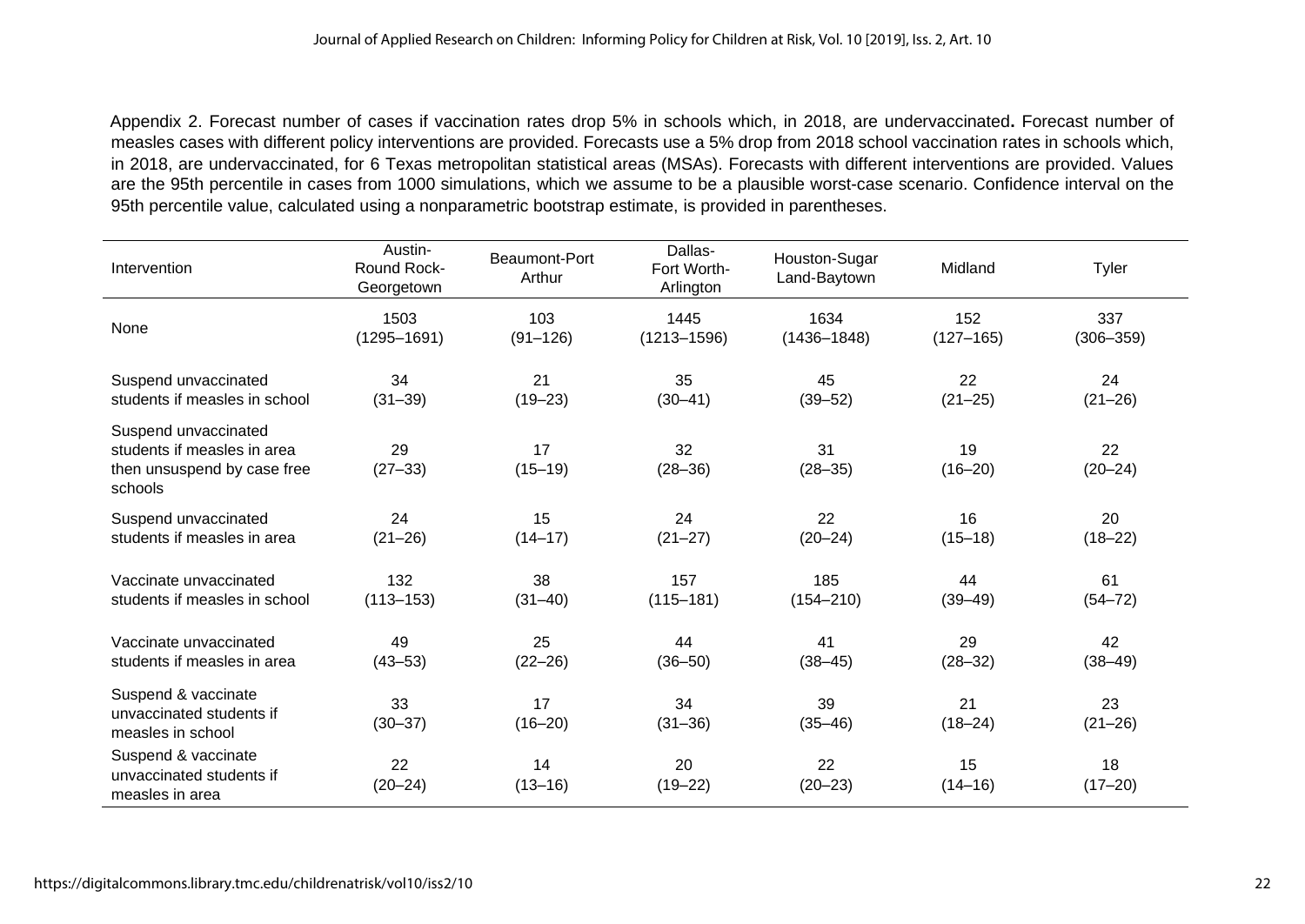Appendix 2. Forecast number of cases if vaccination rates drop 5% in schools which, in 2018, are undervaccinated**.** Forecast number of measles cases with different policy interventions are provided. Forecasts use a 5% drop from 2018 school vaccination rates in schools which, in 2018, are undervaccinated, for 6 Texas metropolitan statistical areas (MSAs). Forecasts with different interventions are provided. Values are the 95th percentile in cases from 1000 simulations, which we assume to be a plausible worst-case scenario. Confidence interval on the 95th percentile value, calculated using a nonparametric bootstrap estimate, is provided in parentheses.

| Intervention                                                                                  | Austin-<br><b>Round Rock-</b><br>Georgetown | Beaumont-Port<br>Arthur | Dallas-<br>Fort Worth-<br>Arlington | Houston-Sugar<br>Land-Baytown | Midland           | Tyler             |
|-----------------------------------------------------------------------------------------------|---------------------------------------------|-------------------------|-------------------------------------|-------------------------------|-------------------|-------------------|
| None                                                                                          | 1503                                        | 103                     | 1445                                | 1634                          | 152               | 337               |
|                                                                                               | $(1295 - 1691)$                             | $(91 - 126)$            | $(1213 - 1596)$                     | $(1436 - 1848)$               | $(127 - 165)$     | $(306 - 359)$     |
| Suspend unvaccinated                                                                          | 34                                          | 21                      | 35                                  | 45                            | 22                | 24                |
| students if measles in school                                                                 | $(31 - 39)$                                 | $(19 - 23)$             | $(30 - 41)$                         | $(39 - 52)$                   | $(21 - 25)$       | $(21 - 26)$       |
| Suspend unvaccinated<br>students if measles in area<br>then unsuspend by case free<br>schools | 29<br>$(27-33)$                             | 17<br>$(15 - 19)$       | 32<br>$(28 - 36)$                   | 31<br>$(28 - 35)$             | 19<br>$(16 - 20)$ | 22<br>$(20 - 24)$ |
| Suspend unvaccinated                                                                          | 24                                          | 15                      | 24                                  | 22                            | 16                | 20                |
| students if measles in area                                                                   | $(21 - 26)$                                 | $(14 - 17)$             | $(21 - 27)$                         | $(20 - 24)$                   | $(15 - 18)$       | $(18 - 22)$       |
| Vaccinate unvaccinated                                                                        | 132                                         | 38                      | 157                                 | 185                           | 44                | 61                |
| students if measles in school                                                                 | $(113 - 153)$                               | $(31 - 40)$             | $(115 - 181)$                       | $(154 - 210)$                 | $(39 - 49)$       | $(54 - 72)$       |
| Vaccinate unvaccinated                                                                        | 49                                          | 25                      | 44                                  | 41                            | 29                | 42                |
| students if measles in area                                                                   | $(43 - 53)$                                 | $(22 - 26)$             | $(36 - 50)$                         | $(38 - 45)$                   | $(28 - 32)$       | $(38 - 49)$       |
| Suspend & vaccinate<br>unvaccinated students if<br>measles in school                          | 33<br>$(30 - 37)$                           | 17<br>$(16 - 20)$       | 34<br>$(31 - 36)$                   | 39<br>$(35 - 46)$             | 21<br>$(18 - 24)$ | 23<br>$(21 - 26)$ |
| Suspend & vaccinate<br>unvaccinated students if<br>measles in area                            | 22<br>$(20 - 24)$                           | 14<br>$(13 - 16)$       | 20<br>$(19 - 22)$                   | 22<br>$(20 - 23)$             | 15<br>$(14 - 16)$ | 18<br>$(17 - 20)$ |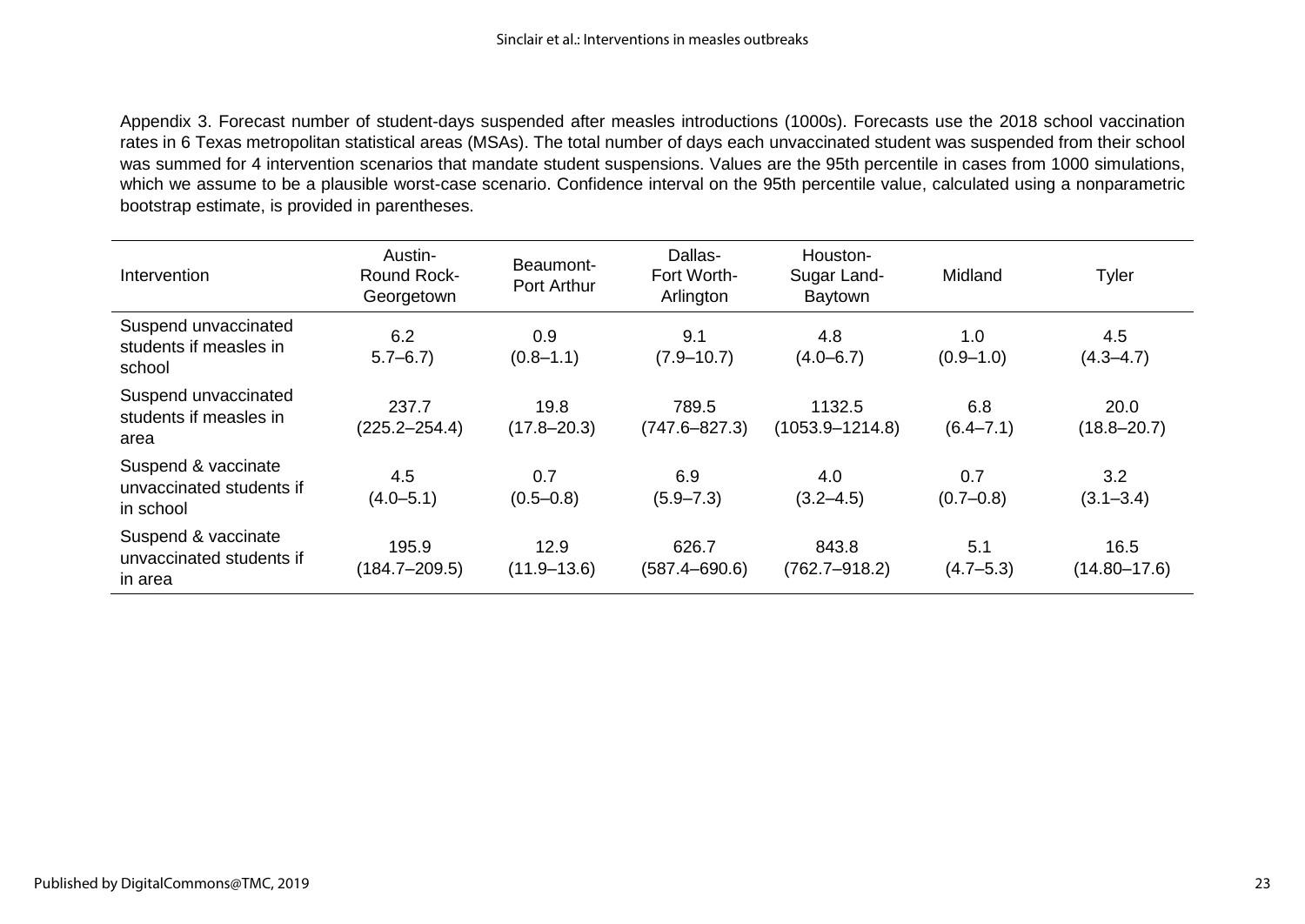Appendix 3. Forecast number of student-days suspended after measles introductions (1000s). Forecasts use the 2018 school vaccination rates in 6 Texas metropolitan statistical areas (MSAs). The total number of days each unvaccinated student was suspended from their school was summed for 4 intervention scenarios that mandate student suspensions. Values are the 95th percentile in cases from 1000 simulations, which we assume to be a plausible worst-case scenario. Confidence interval on the 95th percentile value, calculated using a nonparametric bootstrap estimate, is provided in parentheses.

| Intervention                                                 | Austin-<br><b>Round Rock-</b><br>Georgetown | Beaumont-<br>Port Arthur | Dallas-<br>Fort Worth-<br>Arlington | Houston-<br>Sugar Land-<br>Baytown | Midland              | Tyler                    |
|--------------------------------------------------------------|---------------------------------------------|--------------------------|-------------------------------------|------------------------------------|----------------------|--------------------------|
| Suspend unvaccinated<br>students if measles in<br>school     | 6.2<br>$5.7 - 6.7$                          | 0.9<br>$(0.8 - 1.1)$     | 9.1<br>$(7.9 - 10.7)$               | 4.8<br>$(4.0 - 6.7)$               | 1.0<br>$(0.9 - 1.0)$ | 4.5<br>$(4.3 - 4.7)$     |
| Suspend unvaccinated<br>students if measles in<br>area       | 237.7<br>$(225.2 - 254.4)$                  | 19.8<br>$(17.8 - 20.3)$  | 789.5<br>$(747.6 - 827.3)$          | 1132.5<br>$(1053.9 - 1214.8)$      | 6.8<br>$(6.4 - 7.1)$ | 20.0<br>$(18.8 - 20.7)$  |
| Suspend & vaccinate<br>unvaccinated students if<br>in school | 4.5<br>$(4.0 - 5.1)$                        | 0.7<br>$(0.5 - 0.8)$     | 6.9<br>$(5.9 - 7.3)$                | 4.0<br>$(3.2 - 4.5)$               | 0.7<br>$(0.7 - 0.8)$ | 3.2<br>$(3.1 - 3.4)$     |
| Suspend & vaccinate<br>unvaccinated students if<br>in area   | 195.9<br>$(184.7 - 209.5)$                  | 12.9<br>$(11.9 - 13.6)$  | 626.7<br>$(587.4 - 690.6)$          | 843.8<br>$(762.7 - 918.2)$         | 5.1<br>$(4.7 - 5.3)$ | 16.5<br>$(14.80 - 17.6)$ |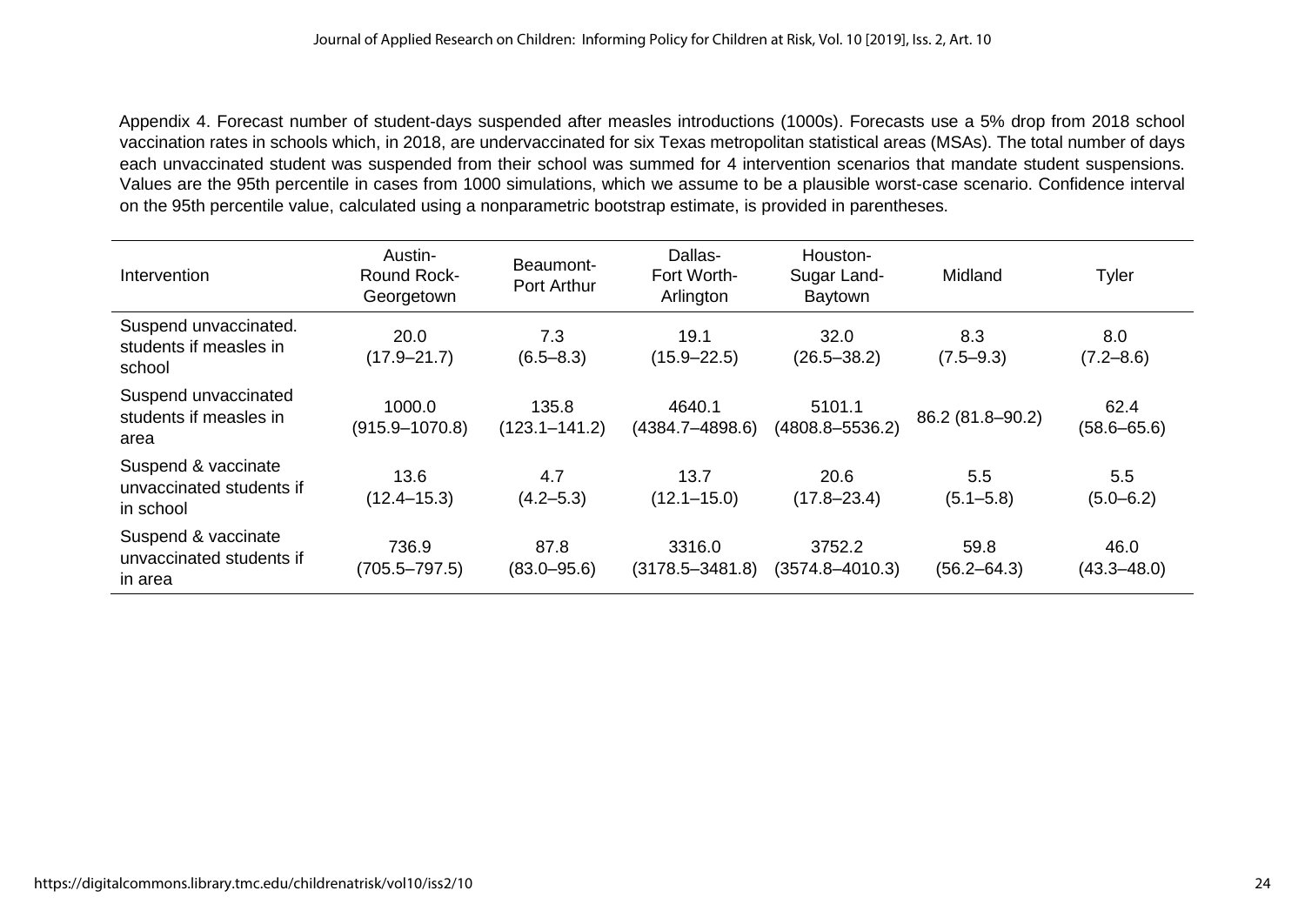Appendix 4. Forecast number of student-days suspended after measles introductions (1000s). Forecasts use a 5% drop from 2018 school vaccination rates in schools which, in 2018, are undervaccinated for six Texas metropolitan statistical areas (MSAs). The total number of days each unvaccinated student was suspended from their school was summed for 4 intervention scenarios that mandate student suspensions. Values are the 95th percentile in cases from 1000 simulations, which we assume to be a plausible worst-case scenario. Confidence interval on the 95th percentile value, calculated using a nonparametric bootstrap estimate, is provided in parentheses.

| Intervention                                                 | Austin-<br><b>Round Rock-</b><br>Georgetown | Beaumont-<br>Port Arthur   | Dallas-<br>Fort Worth-<br>Arlington | Houston-<br>Sugar Land-<br>Baytown | Midland                 | Tyler                   |
|--------------------------------------------------------------|---------------------------------------------|----------------------------|-------------------------------------|------------------------------------|-------------------------|-------------------------|
| Suspend unvaccinated.<br>students if measles in<br>school    | 20.0<br>$(17.9 - 21.7)$                     | 7.3<br>$(6.5 - 8.3)$       | 19.1<br>$(15.9 - 22.5)$             | 32.0<br>$(26.5 - 38.2)$            | 8.3<br>$(7.5 - 9.3)$    | 8.0<br>$(7.2 - 8.6)$    |
| Suspend unvaccinated<br>students if measles in<br>area       | 1000.0<br>$(915.9 - 1070.8)$                | 135.8<br>$(123.1 - 141.2)$ | 4640.1<br>$(4384.7 - 4898.6)$       | 5101.1<br>$(4808.8 - 5536.2)$      | 86.2 (81.8-90.2)        | 62.4<br>$(58.6 - 65.6)$ |
| Suspend & vaccinate<br>unvaccinated students if<br>in school | 13.6<br>$(12.4 - 15.3)$                     | 4.7<br>$(4.2 - 5.3)$       | 13.7<br>$(12.1 - 15.0)$             | 20.6<br>$(17.8 - 23.4)$            | 5.5<br>$(5.1 - 5.8)$    | 5.5<br>$(5.0 - 6.2)$    |
| Suspend & vaccinate<br>unvaccinated students if<br>in area   | 736.9<br>$(705.5 - 797.5)$                  | 87.8<br>$(83.0 - 95.6)$    | 3316.0<br>$(3178.5 - 3481.8)$       | 3752.2<br>$(3574.8 - 4010.3)$      | 59.8<br>$(56.2 - 64.3)$ | 46.0<br>$(43.3 - 48.0)$ |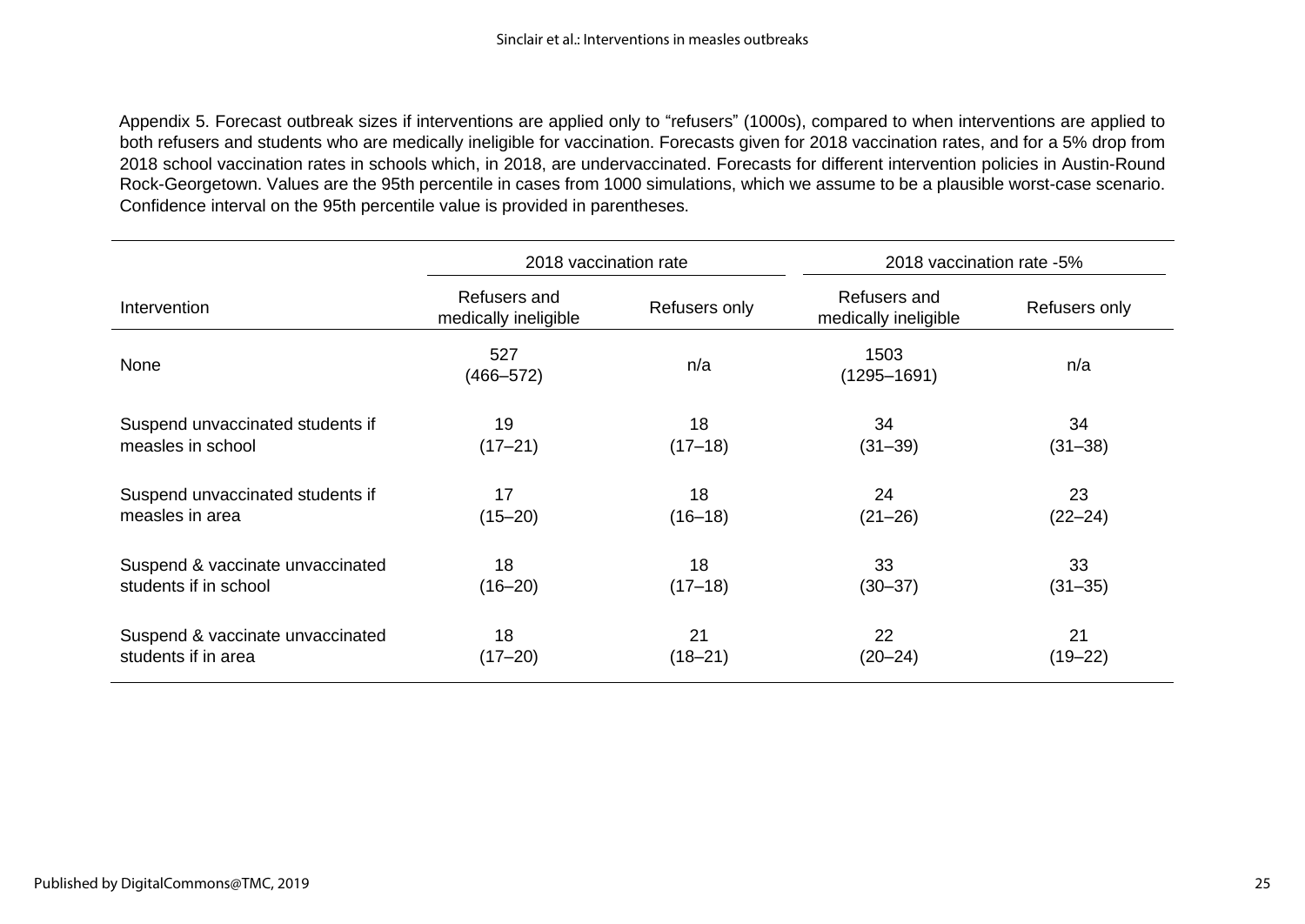Appendix 5. Forecast outbreak sizes if interventions are applied only to "refusers" (1000s), compared to when interventions are applied to both refusers and students who are medically ineligible for vaccination. Forecasts given for 2018 vaccination rates, and for a 5% drop from 2018 school vaccination rates in schools which, in 2018, are undervaccinated. Forecasts for different intervention policies in Austin-Round Rock-Georgetown. Values are the 95th percentile in cases from 1000 simulations, which we assume to be a plausible worst-case scenario. Confidence interval on the 95th percentile value is provided in parentheses.

|                                  | 2018 vaccination rate                |               | 2018 vaccination rate -5%            |               |  |
|----------------------------------|--------------------------------------|---------------|--------------------------------------|---------------|--|
| Intervention                     | Refusers and<br>medically ineligible | Refusers only | Refusers and<br>medically ineligible | Refusers only |  |
| None                             | 527<br>$(466 - 572)$                 | n/a           | 1503<br>$(1295 - 1691)$              | n/a           |  |
| Suspend unvaccinated students if | 19                                   | 18            | 34                                   | 34            |  |
| measles in school                | $(17 - 21)$                          | $(17-18)$     | $(31 - 39)$                          | $(31 - 38)$   |  |
| Suspend unvaccinated students if | 17                                   | 18            | 24                                   | 23            |  |
| measles in area                  | $(15 - 20)$                          | $(16 - 18)$   | $(21 - 26)$                          | $(22 - 24)$   |  |
| Suspend & vaccinate unvaccinated | 18                                   | 18            | 33                                   | 33            |  |
| students if in school            | $(16 - 20)$                          | $(17-18)$     | $(30 - 37)$                          | $(31 - 35)$   |  |
| Suspend & vaccinate unvaccinated | 18                                   | 21            | 22                                   | 21            |  |
| students if in area              | $(17 - 20)$                          | $(18 - 21)$   | $(20 - 24)$                          | $(19 - 22)$   |  |